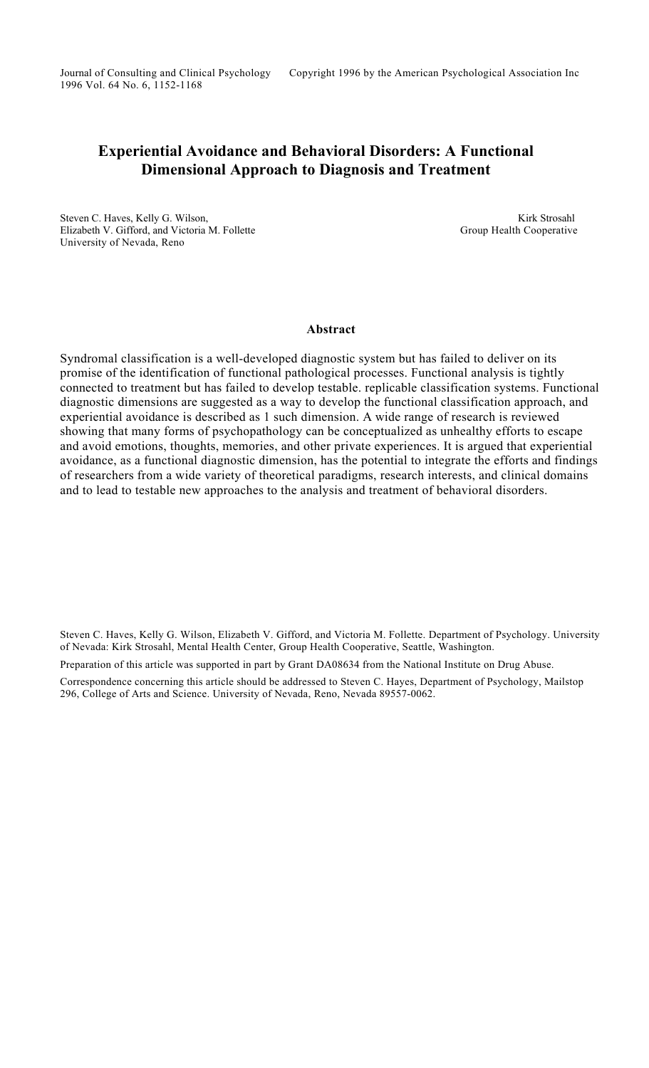1996 Vol. 64 No. 6, 1152-1168

# **Experiential Avoidance and Behavioral Disorders: A Functional Dimensional Approach to Diagnosis and Treatment**

Steven C. Haves, Kelly G. Wilson, Kirk Strosahl Elizabeth V. Gifford, and Victoria M. Follette Group Health Cooperative Group Health Cooperative University of Nevada, Reno

#### **Abstract**

Syndromal classification is a well-developed diagnostic system but has failed to deliver on its promise of the identification of functional pathological processes. Functional analysis is tightly connected to treatment but has failed to develop testable. replicable classification systems. Functional diagnostic dimensions are suggested as a way to develop the functional classification approach, and experiential avoidance is described as 1 such dimension. A wide range of research is reviewed showing that many forms of psychopathology can be conceptualized as unhealthy efforts to escape and avoid emotions, thoughts, memories, and other private experiences. It is argued that experiential avoidance, as a functional diagnostic dimension, has the potential to integrate the efforts and findings of researchers from a wide variety of theoretical paradigms, research interests, and clinical domains and to lead to testable new approaches to the analysis and treatment of behavioral disorders.

Steven C. Haves, Kelly G. Wilson, Elizabeth V. Gifford, and Victoria M. Follette. Department of Psychology. University of Nevada: Kirk Strosahl, Mental Health Center, Group Health Cooperative, Seattle, Washington.

Preparation of this article was supported in part by Grant DA08634 from the National Institute on Drug Abuse.

Correspondence concerning this article should be addressed to Steven C. Hayes, Department of Psychology, Mailstop 296, College of Arts and Science. University of Nevada, Reno, Nevada 89557-0062.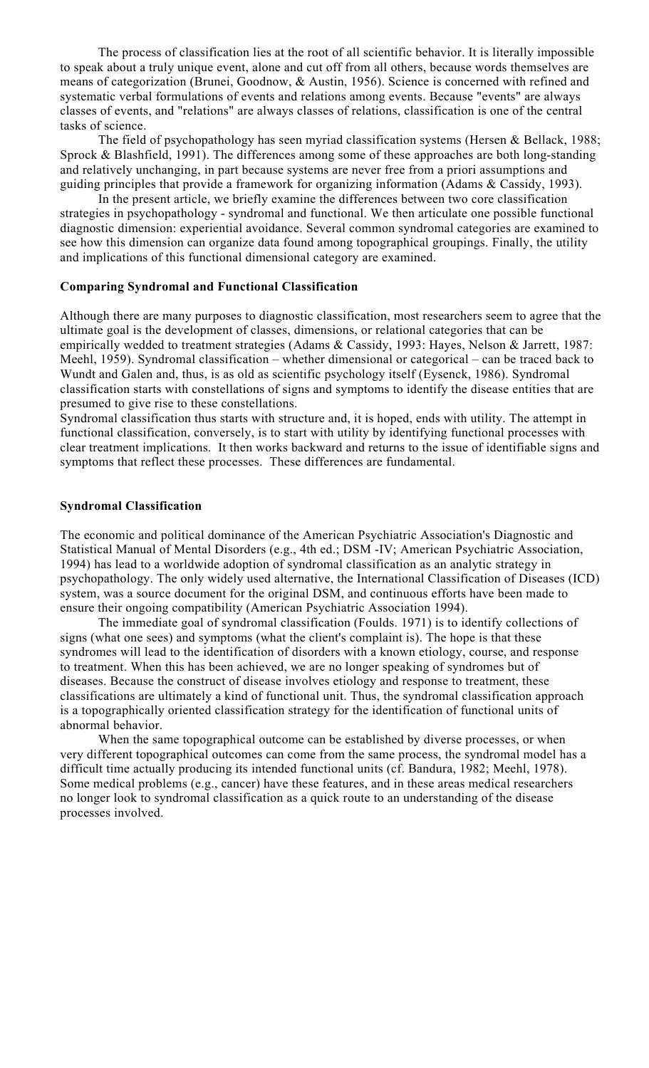The process of classification lies at the root of all scientific behavior. It is literally impossible to speak about a truly unique event, alone and cut off from all others, because words themselves are means of categorization (Brunei, Goodnow, & Austin, 1956). Science is concerned with refined and systematic verbal formulations of events and relations among events. Because "events" are always classes of events, and "relations" are always classes of relations, classification is one of the central tasks of science.

The field of psychopathology has seen myriad classification systems (Hersen & Bellack, 1988; Sprock & Blashfield, 1991). The differences among some of these approaches are both long-standing and relatively unchanging, in part because systems are never free from a priori assumptions and guiding principles that provide a framework for organizing information (Adams & Cassidy, 1993).

In the present article, we briefly examine the differences between two core classification strategies in psychopathology - syndromal and functional. We then articulate one possible functional diagnostic dimension: experiential avoidance. Several common syndromal categories are examined to see how this dimension can organize data found among topographical groupings. Finally, the utility and implications of this functional dimensional category are examined.

## **Comparing Syndromal and Functional Classification**

Although there are many purposes to diagnostic classification, most researchers seem to agree that the ultimate goal is the development of classes, dimensions, or relational categories that can be empirically wedded to treatment strategies (Adams & Cassidy, 1993: Hayes, Nelson & Jarrett, 1987: Meehl, 1959). Syndromal classification – whether dimensional or categorical – can be traced back to Wundt and Galen and, thus, is as old as scientific psychology itself (Eysenck, 1986). Syndromal classification starts with constellations of signs and symptoms to identify the disease entities that are presumed to give rise to these constellations.

Syndromal classification thus starts with structure and, it is hoped, ends with utility. The attempt in functional classification, conversely, is to start with utility by identifying functional processes with clear treatment implications. It then works backward and returns to the issue of identifiable signs and symptoms that reflect these processes. These differences are fundamental.

#### **Syndromal Classification**

The economic and political dominance of the American Psychiatric Association's Diagnostic and Statistical Manual of Mental Disorders (e.g., 4th ed.; DSM -IV; American Psychiatric Association, 1994) has lead to a worldwide adoption of syndromal classification as an analytic strategy in psychopathology. The only widely used alternative, the International Classification of Diseases (ICD) system, was a source document for the original DSM, and continuous efforts have been made to ensure their ongoing compatibility (American Psychiatric Association 1994).

The immediate goal of syndromal classification (Foulds. 1971) is to identify collections of signs (what one sees) and symptoms (what the client's complaint is). The hope is that these syndromes will lead to the identification of disorders with a known etiology, course, and response to treatment. When this has been achieved, we are no longer speaking of syndromes but of diseases. Because the construct of disease involves etiology and response to treatment, these classifications are ultimately a kind of functional unit. Thus, the syndromal classification approach is a topographically oriented classification strategy for the identification of functional units of abnormal behavior.

When the same topographical outcome can be established by diverse processes, or when very different topographical outcomes can come from the same process, the syndromal model has a difficult time actually producing its intended functional units (cf. Bandura, 1982; Meehl, 1978). Some medical problems (e.g., cancer) have these features, and in these areas medical researchers no longer look to syndromal classification as a quick route to an understanding of the disease processes involved.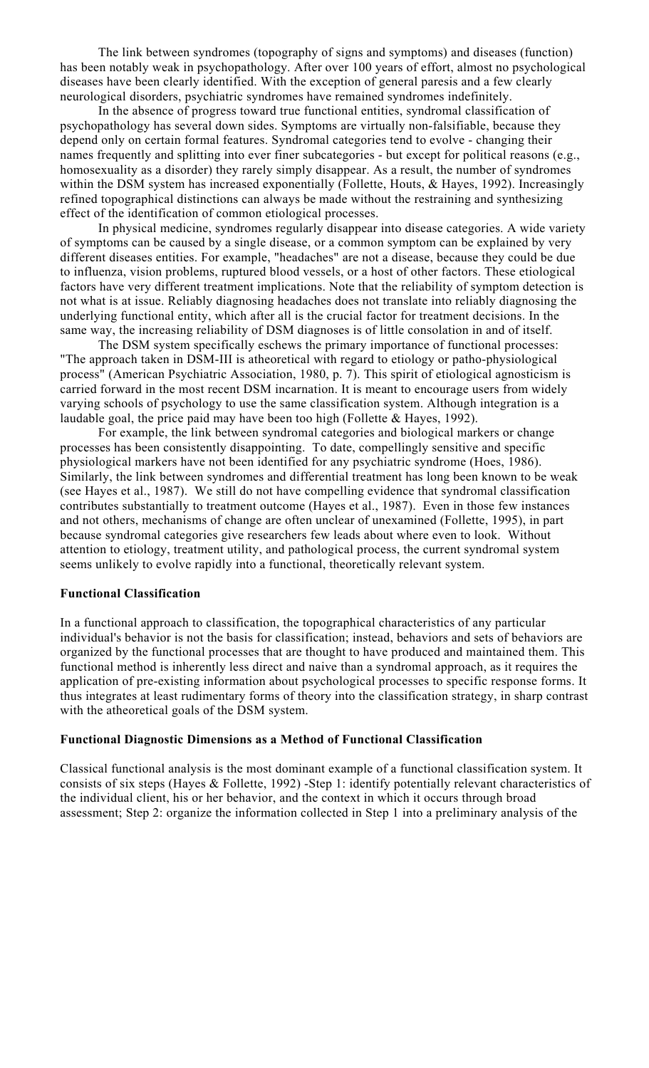The link between syndromes (topography of signs and symptoms) and diseases (function) has been notably weak in psychopathology. After over 100 years of effort, almost no psychological diseases have been clearly identified. With the exception of general paresis and a few clearly neurological disorders, psychiatric syndromes have remained syndromes indefinitely.

In the absence of progress toward true functional entities, syndromal classification of psychopathology has several down sides. Symptoms are virtually non-falsifiable, because they depend only on certain formal features. Syndromal categories tend to evolve - changing their names frequently and splitting into ever finer subcategories - but except for political reasons (e.g., homosexuality as a disorder) they rarely simply disappear. As a result, the number of syndromes within the DSM system has increased exponentially (Follette, Houts, & Hayes, 1992). Increasingly refined topographical distinctions can always be made without the restraining and synthesizing effect of the identification of common etiological processes.

In physical medicine, syndromes regularly disappear into disease categories. A wide variety of symptoms can be caused by a single disease, or a common symptom can be explained by very different diseases entities. For example, "headaches" are not a disease, because they could be due to influenza, vision problems, ruptured blood vessels, or a host of other factors. These etiological factors have very different treatment implications. Note that the reliability of symptom detection is not what is at issue. Reliably diagnosing headaches does not translate into reliably diagnosing the underlying functional entity, which after all is the crucial factor for treatment decisions. In the same way, the increasing reliability of DSM diagnoses is of little consolation in and of itself.

The DSM system specifically eschews the primary importance of functional processes: "The approach taken in DSM-III is atheoretical with regard to etiology or patho-physiological process" (American Psychiatric Association, 1980, p. 7). This spirit of etiological agnosticism is carried forward in the most recent DSM incarnation. It is meant to encourage users from widely varying schools of psychology to use the same classification system. Although integration is a laudable goal, the price paid may have been too high (Follette & Hayes, 1992).

For example, the link between syndromal categories and biological markers or change processes has been consistently disappointing. To date, compellingly sensitive and specific physiological markers have not been identified for any psychiatric syndrome (Hoes, 1986). Similarly, the link between syndromes and differential treatment has long been known to be weak (see Hayes et al., 1987). We still do not have compelling evidence that syndromal classification contributes substantially to treatment outcome (Hayes et al., 1987). Even in those few instances and not others, mechanisms of change are often unclear of unexamined (Follette, 1995), in part because syndromal categories give researchers few leads about where even to look. Without attention to etiology, treatment utility, and pathological process, the current syndromal system seems unlikely to evolve rapidly into a functional, theoretically relevant system.

#### **Functional Classification**

In a functional approach to classification, the topographical characteristics of any particular individual's behavior is not the basis for classification; instead, behaviors and sets of behaviors are organized by the functional processes that are thought to have produced and maintained them. This functional method is inherently less direct and naive than a syndromal approach, as it requires the application of pre-existing information about psychological processes to specific response forms. It thus integrates at least rudimentary forms of theory into the classification strategy, in sharp contrast with the atheoretical goals of the DSM system.

#### **Functional Diagnostic Dimensions as a Method of Functional Classification**

Classical functional analysis is the most dominant example of a functional classification system. It consists of six steps (Hayes & Follette, 1992) -Step 1: identify potentially relevant characteristics of the individual client, his or her behavior, and the context in which it occurs through broad assessment; Step 2: organize the information collected in Step 1 into a preliminary analysis of the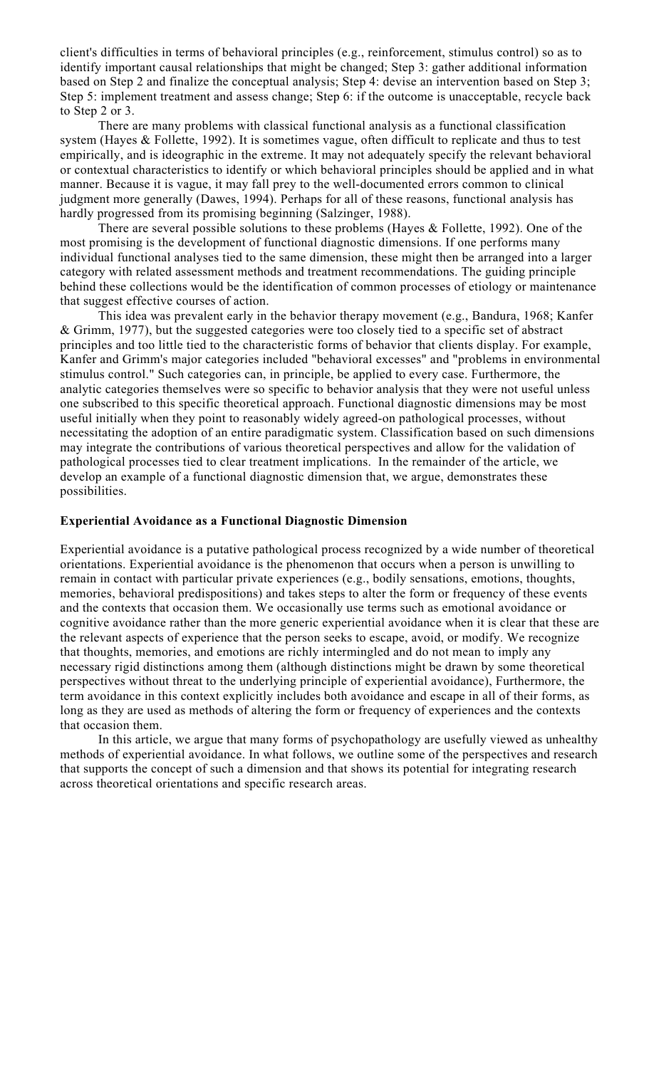client's difficulties in terms of behavioral principles (e.g., reinforcement, stimulus control) so as to identify important causal relationships that might be changed; Step 3: gather additional information based on Step 2 and finalize the conceptual analysis; Step 4: devise an intervention based on Step 3; Step 5: implement treatment and assess change; Step 6: if the outcome is unacceptable, recycle back to Step 2 or 3.

There are many problems with classical functional analysis as a functional classification system (Hayes & Follette, 1992). It is sometimes vague, often difficult to replicate and thus to test empirically, and is ideographic in the extreme. It may not adequately specify the relevant behavioral or contextual characteristics to identify or which behavioral principles should be applied and in what manner. Because it is vague, it may fall prey to the well-documented errors common to clinical judgment more generally (Dawes, 1994). Perhaps for all of these reasons, functional analysis has hardly progressed from its promising beginning (Salzinger, 1988).

There are several possible solutions to these problems (Hayes & Follette, 1992). One of the most promising is the development of functional diagnostic dimensions. If one performs many individual functional analyses tied to the same dimension, these might then be arranged into a larger category with related assessment methods and treatment recommendations. The guiding principle behind these collections would be the identification of common processes of etiology or maintenance that suggest effective courses of action.

This idea was prevalent early in the behavior therapy movement (e.g., Bandura, 1968; Kanfer & Grimm, 1977), but the suggested categories were too closely tied to a specific set of abstract principles and too little tied to the characteristic forms of behavior that clients display. For example, Kanfer and Grimm's major categories included "behavioral excesses" and "problems in environmental stimulus control." Such categories can, in principle, be applied to every case. Furthermore, the analytic categories themselves were so specific to behavior analysis that they were not useful unless one subscribed to this specific theoretical approach. Functional diagnostic dimensions may be most useful initially when they point to reasonably widely agreed-on pathological processes, without necessitating the adoption of an entire paradigmatic system. Classification based on such dimensions may integrate the contributions of various theoretical perspectives and allow for the validation of pathological processes tied to clear treatment implications. In the remainder of the article, we develop an example of a functional diagnostic dimension that, we argue, demonstrates these possibilities.

#### **Experiential Avoidance as a Functional Diagnostic Dimension**

Experiential avoidance is a putative pathological process recognized by a wide number of theoretical orientations. Experiential avoidance is the phenomenon that occurs when a person is unwilling to remain in contact with particular private experiences (e.g., bodily sensations, emotions, thoughts, memories, behavioral predispositions) and takes steps to alter the form or frequency of these events and the contexts that occasion them. We occasionally use terms such as emotional avoidance or cognitive avoidance rather than the more generic experiential avoidance when it is clear that these are the relevant aspects of experience that the person seeks to escape, avoid, or modify. We recognize that thoughts, memories, and emotions are richly intermingled and do not mean to imply any necessary rigid distinctions among them (although distinctions might be drawn by some theoretical perspectives without threat to the underlying principle of experiential avoidance), Furthermore, the term avoidance in this context explicitly includes both avoidance and escape in all of their forms, as long as they are used as methods of altering the form or frequency of experiences and the contexts that occasion them.

In this article, we argue that many forms of psychopathology are usefully viewed as unhealthy methods of experiential avoidance. In what follows, we outline some of the perspectives and research that supports the concept of such a dimension and that shows its potential for integrating research across theoretical orientations and specific research areas.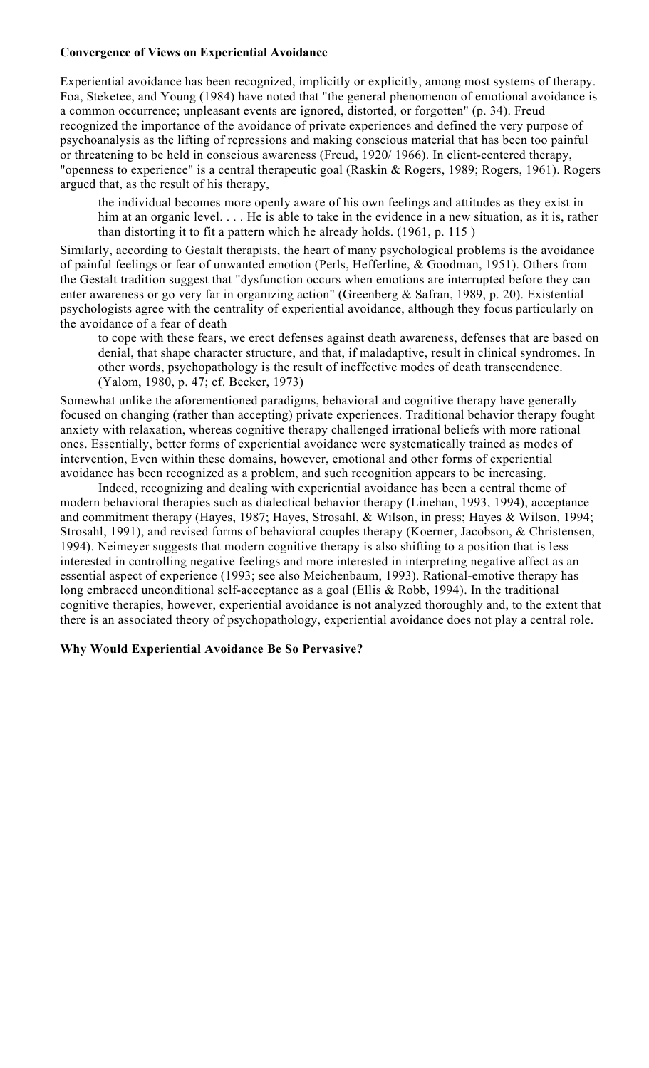#### **Convergence of Views on Experiential Avoidance**

Experiential avoidance has been recognized, implicitly or explicitly, among most systems of therapy. Foa, Steketee, and Young (1984) have noted that "the general phenomenon of emotional avoidance is a common occurrence; unpleasant events are ignored, distorted, or forgotten" (p. 34). Freud recognized the importance of the avoidance of private experiences and defined the very purpose of psychoanalysis as the lifting of repressions and making conscious material that has been too painful or threatening to be held in conscious awareness (Freud, 1920/ 1966). In client-centered therapy, "openness to experience" is a central therapeutic goal (Raskin & Rogers, 1989; Rogers, 1961). Rogers argued that, as the result of his therapy,

the individual becomes more openly aware of his own feelings and attitudes as they exist in him at an organic level. . . . He is able to take in the evidence in a new situation, as it is, rather than distorting it to fit a pattern which he already holds. (1961, p. 115 )

Similarly, according to Gestalt therapists, the heart of many psychological problems is the avoidance of painful feelings or fear of unwanted emotion (Perls, Hefferline, & Goodman, 1951). Others from the Gestalt tradition suggest that "dysfunction occurs when emotions are interrupted before they can enter awareness or go very far in organizing action" (Greenberg & Safran, 1989, p. 20). Existential psychologists agree with the centrality of experiential avoidance, although they focus particularly on the avoidance of a fear of death

to cope with these fears, we erect defenses against death awareness, defenses that are based on denial, that shape character structure, and that, if maladaptive, result in clinical syndromes. In other words, psychopathology is the result of ineffective modes of death transcendence. (Yalom, 1980, p. 47; cf. Becker, 1973)

Somewhat unlike the aforementioned paradigms, behavioral and cognitive therapy have generally focused on changing (rather than accepting) private experiences. Traditional behavior therapy fought anxiety with relaxation, whereas cognitive therapy challenged irrational beliefs with more rational ones. Essentially, better forms of experiential avoidance were systematically trained as modes of intervention, Even within these domains, however, emotional and other forms of experiential avoidance has been recognized as a problem, and such recognition appears to be increasing.

Indeed, recognizing and dealing with experiential avoidance has been a central theme of modern behavioral therapies such as dialectical behavior therapy (Linehan, 1993, 1994), acceptance and commitment therapy (Hayes, 1987; Hayes, Strosahl, & Wilson, in press; Hayes & Wilson, 1994; Strosahl, 1991), and revised forms of behavioral couples therapy (Koerner, Jacobson, & Christensen, 1994). Neimeyer suggests that modern cognitive therapy is also shifting to a position that is less interested in controlling negative feelings and more interested in interpreting negative affect as an essential aspect of experience (1993; see also Meichenbaum, 1993). Rational-emotive therapy has long embraced unconditional self-acceptance as a goal (Ellis & Robb, 1994). In the traditional cognitive therapies, however, experiential avoidance is not analyzed thoroughly and, to the extent that there is an associated theory of psychopathology, experiential avoidance does not play a central role.

### **Why Would Experiential Avoidance Be So Pervasive?**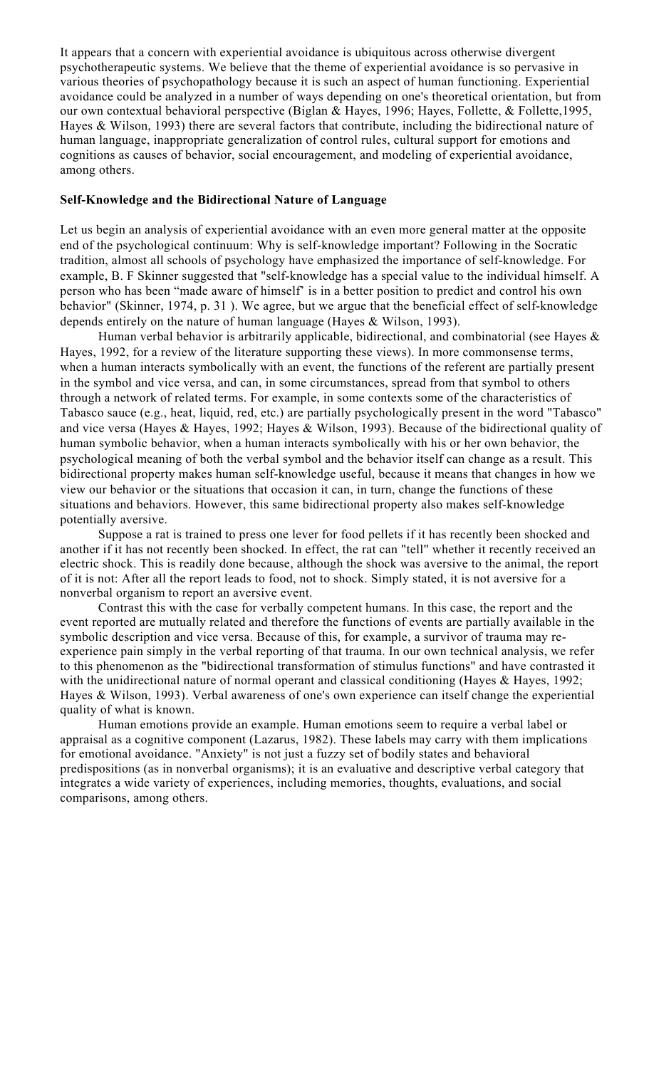It appears that a concern with experiential avoidance is ubiquitous across otherwise divergent psychotherapeutic systems. We believe that the theme of experiential avoidance is so pervasive in various theories of psychopathology because it is such an aspect of human functioning. Experiential avoidance could be analyzed in a number of ways depending on one's theoretical orientation, but from our own contextual behavioral perspective (Biglan & Hayes, 1996; Hayes, Follette, & Follette, 1995, Hayes & Wilson, 1993) there are several factors that contribute, including the bidirectional nature of human language, inappropriate generalization of control rules, cultural support for emotions and cognitions as causes of behavior, social encouragement, and modeling of experiential avoidance, among others.

#### **Self-Knowledge and the Bidirectional Nature of Language**

Let us begin an analysis of experiential avoidance with an even more general matter at the opposite end of the psychological continuum: Why is self-knowledge important? Following in the Socratic tradition, almost all schools of psychology have emphasized the importance of self-knowledge. For example, B. F Skinner suggested that "self-knowledge has a special value to the individual himself. A person who has been "made aware of himself' is in a better position to predict and control his own behavior" (Skinner, 1974, p. 31 ). We agree, but we argue that the beneficial effect of self-knowledge depends entirely on the nature of human language (Hayes & Wilson, 1993).

Human verbal behavior is arbitrarily applicable, bidirectional, and combinatorial (see Hayes  $\&$ Hayes, 1992, for a review of the literature supporting these views). In more commonsense terms, when a human interacts symbolically with an event, the functions of the referent are partially present in the symbol and vice versa, and can, in some circumstances, spread from that symbol to others through a network of related terms. For example, in some contexts some of the characteristics of Tabasco sauce (e.g., heat, liquid, red, etc.) are partially psychologically present in the word "Tabasco" and vice versa (Hayes & Hayes, 1992; Hayes & Wilson, 1993). Because of the bidirectional quality of human symbolic behavior, when a human interacts symbolically with his or her own behavior, the psychological meaning of both the verbal symbol and the behavior itself can change as a result. This bidirectional property makes human self-knowledge useful, because it means that changes in how we view our behavior or the situations that occasion it can, in turn, change the functions of these situations and behaviors. However, this same bidirectional property also makes self-knowledge potentially aversive.

Suppose a rat is trained to press one lever for food pellets if it has recently been shocked and another if it has not recently been shocked. In effect, the rat can "tell" whether it recently received an electric shock. This is readily done because, although the shock was aversive to the animal, the report of it is not: After all the report leads to food, not to shock. Simply stated, it is not aversive for a nonverbal organism to report an aversive event.

Contrast this with the case for verbally competent humans. In this case, the report and the event reported are mutually related and therefore the functions of events are partially available in the symbolic description and vice versa. Because of this, for example, a survivor of trauma may reexperience pain simply in the verbal reporting of that trauma. In our own technical analysis, we refer to this phenomenon as the "bidirectional transformation of stimulus functions" and have contrasted it with the unidirectional nature of normal operant and classical conditioning (Hayes & Hayes, 1992; Hayes & Wilson, 1993). Verbal awareness of one's own experience can itself change the experiential quality of what is known.

Human emotions provide an example. Human emotions seem to require a verbal label or appraisal as a cognitive component (Lazarus, 1982). These labels may carry with them implications for emotional avoidance. "Anxiety" is not just a fuzzy set of bodily states and behavioral predispositions (as in nonverbal organisms); it is an evaluative and descriptive verbal category that integrates a wide variety of experiences, including memories, thoughts, evaluations, and social comparisons, among others.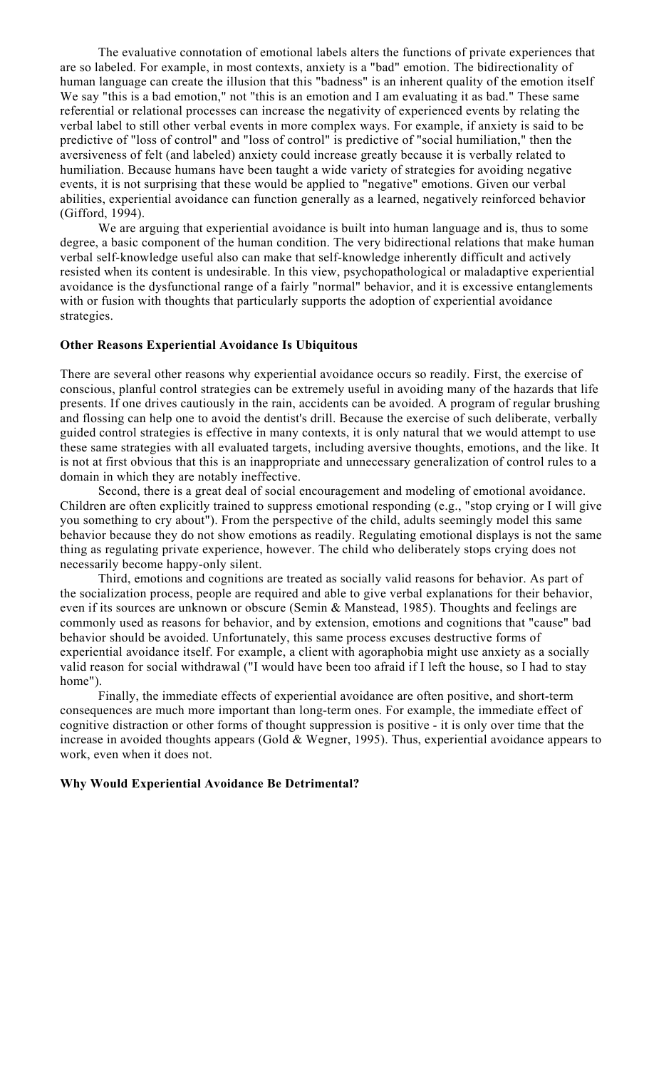The evaluative connotation of emotional labels alters the functions of private experiences that are so labeled. For example, in most contexts, anxiety is a "bad" emotion. The bidirectionality of human language can create the illusion that this "badness" is an inherent quality of the emotion itself We say "this is a bad emotion," not "this is an emotion and I am evaluating it as bad." These same referential or relational processes can increase the negativity of experienced events by relating the verbal label to still other verbal events in more complex ways. For example, if anxiety is said to be predictive of "loss of control" and "loss of control" is predictive of "social humiliation," then the aversiveness of felt (and labeled) anxiety could increase greatly because it is verbally related to humiliation. Because humans have been taught a wide variety of strategies for avoiding negative events, it is not surprising that these would be applied to "negative" emotions. Given our verbal abilities, experiential avoidance can function generally as a learned, negatively reinforced behavior (Gifford, 1994).

We are arguing that experiential avoidance is built into human language and is, thus to some degree, a basic component of the human condition. The very bidirectional relations that make human verbal self-knowledge useful also can make that self-knowledge inherently difficult and actively resisted when its content is undesirable. In this view, psychopathological or maladaptive experiential avoidance is the dysfunctional range of a fairly "normal" behavior, and it is excessive entanglements with or fusion with thoughts that particularly supports the adoption of experiential avoidance strategies.

#### **Other Reasons Experiential Avoidance Is Ubiquitous**

There are several other reasons why experiential avoidance occurs so readily. First, the exercise of conscious, planful control strategies can be extremely useful in avoiding many of the hazards that life presents. If one drives cautiously in the rain, accidents can be avoided. A program of regular brushing and flossing can help one to avoid the dentist's drill. Because the exercise of such deliberate, verbally guided control strategies is effective in many contexts, it is only natural that we would attempt to use these same strategies with all evaluated targets, including aversive thoughts, emotions, and the like. It is not at first obvious that this is an inappropriate and unnecessary generalization of control rules to a domain in which they are notably ineffective.

Second, there is a great deal of social encouragement and modeling of emotional avoidance. Children are often explicitly trained to suppress emotional responding (e.g., "stop crying or I will give you something to cry about"). From the perspective of the child, adults seemingly model this same behavior because they do not show emotions as readily. Regulating emotional displays is not the same thing as regulating private experience, however. The child who deliberately stops crying does not necessarily become happy-only silent.

Third, emotions and cognitions are treated as socially valid reasons for behavior. As part of the socialization process, people are required and able to give verbal explanations for their behavior, even if its sources are unknown or obscure (Semin & Manstead, 1985). Thoughts and feelings are commonly used as reasons for behavior, and by extension, emotions and cognitions that "cause" bad behavior should be avoided. Unfortunately, this same process excuses destructive forms of experiential avoidance itself. For example, a client with agoraphobia might use anxiety as a socially valid reason for social withdrawal ("I would have been too afraid if I left the house, so I had to stay home").

Finally, the immediate effects of experiential avoidance are often positive, and short-term consequences are much more important than long-term ones. For example, the immediate effect of cognitive distraction or other forms of thought suppression is positive - it is only over time that the increase in avoided thoughts appears (Gold & Wegner, 1995). Thus, experiential avoidance appears to work, even when it does not.

### **Why Would Experiential Avoidance Be Detrimental?**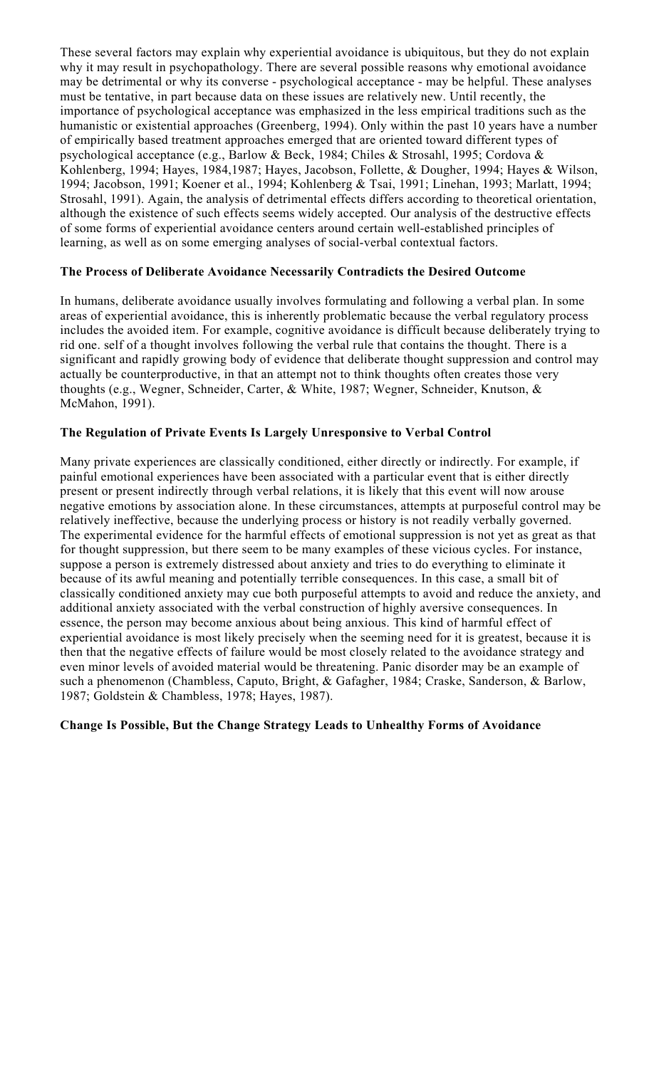These several factors may explain why experiential avoidance is ubiquitous, but they do not explain why it may result in psychopathology. There are several possible reasons why emotional avoidance may be detrimental or why its converse - psychological acceptance - may be helpful. These analyses must be tentative, in part because data on these issues are relatively new. Until recently, the importance of psychological acceptance was emphasized in the less empirical traditions such as the humanistic or existential approaches (Greenberg, 1994). Only within the past 10 years have a number of empirically based treatment approaches emerged that are oriented toward different types of psychological acceptance (e.g., Barlow & Beck, 1984; Chiles & Strosahl, 1995; Cordova & Kohlenberg, 1994; Hayes, 1984,1987; Hayes, Jacobson, Follette, & Dougher, 1994; Hayes & Wilson, 1994; Jacobson, 1991; Koener et al., 1994; Kohlenberg & Tsai, 1991; Linehan, 1993; Marlatt, 1994; Strosahl, 1991). Again, the analysis of detrimental effects differs according to theoretical orientation, although the existence of such effects seems widely accepted. Our analysis of the destructive effects of some forms of experiential avoidance centers around certain well-established principles of learning, as well as on some emerging analyses of social-verbal contextual factors.

# **The Process of Deliberate Avoidance Necessarily Contradicts the Desired Outcome**

In humans, deliberate avoidance usually involves formulating and following a verbal plan. In some areas of experiential avoidance, this is inherently problematic because the verbal regulatory process includes the avoided item. For example, cognitive avoidance is difficult because deliberately trying to rid one. self of a thought involves following the verbal rule that contains the thought. There is a significant and rapidly growing body of evidence that deliberate thought suppression and control may actually be counterproductive, in that an attempt not to think thoughts often creates those very thoughts (e.g., Wegner, Schneider, Carter, & White, 1987; Wegner, Schneider, Knutson, & McMahon, 1991).

# **The Regulation of Private Events Is Largely Unresponsive to Verbal Control**

Many private experiences are classically conditioned, either directly or indirectly. For example, if painful emotional experiences have been associated with a particular event that is either directly present or present indirectly through verbal relations, it is likely that this event will now arouse negative emotions by association alone. In these circumstances, attempts at purposeful control may be relatively ineffective, because the underlying process or history is not readily verbally governed. The experimental evidence for the harmful effects of emotional suppression is not yet as great as that for thought suppression, but there seem to be many examples of these vicious cycles. For instance, suppose a person is extremely distressed about anxiety and tries to do everything to eliminate it because of its awful meaning and potentially terrible consequences. In this case, a small bit of classically conditioned anxiety may cue both purposeful attempts to avoid and reduce the anxiety, and additional anxiety associated with the verbal construction of highly aversive consequences. In essence, the person may become anxious about being anxious. This kind of harmful effect of experiential avoidance is most likely precisely when the seeming need for it is greatest, because it is then that the negative effects of failure would be most closely related to the avoidance strategy and even minor levels of avoided material would be threatening. Panic disorder may be an example of such a phenomenon (Chambless, Caputo, Bright, & Gafagher, 1984; Craske, Sanderson, & Barlow, 1987; Goldstein & Chambless, 1978; Hayes, 1987).

### **Change Is Possible, But the Change Strategy Leads to Unhealthy Forms of Avoidance**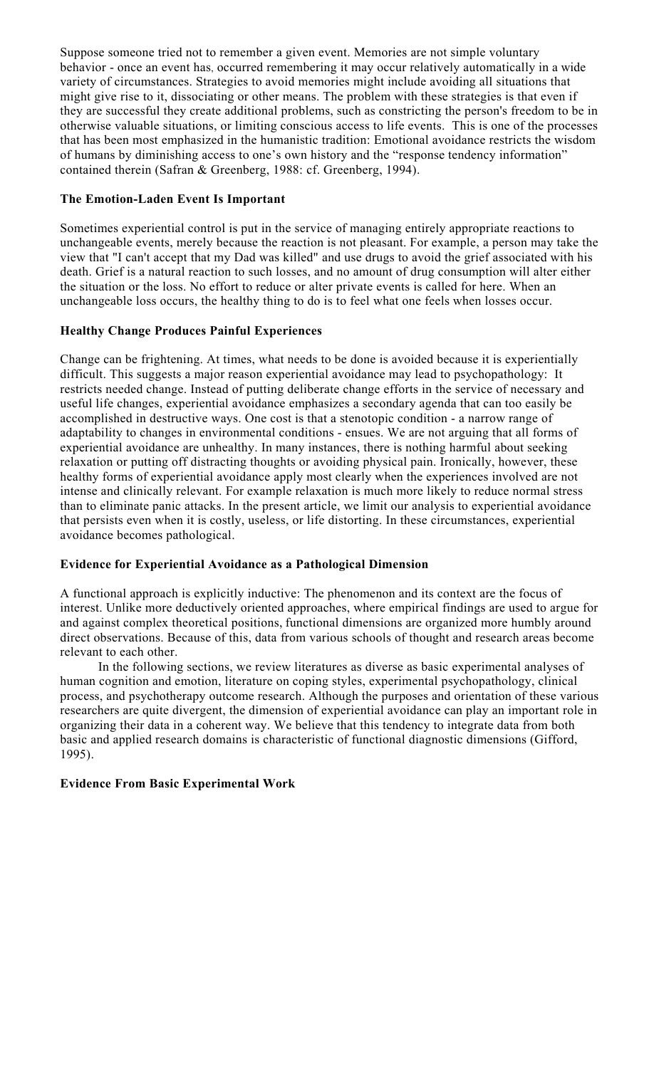Suppose someone tried not to remember a given event. Memories are not simple voluntary behavior - once an event has, occurred remembering it may occur relatively automatically in a wide variety of circumstances. Strategies to avoid memories might include avoiding all situations that might give rise to it, dissociating or other means. The problem with these strategies is that even if they are successful they create additional problems, such as constricting the person's freedom to be in otherwise valuable situations, or limiting conscious access to life events. This is one of the processes that has been most emphasized in the humanistic tradition: Emotional avoidance restricts the wisdom of humans by diminishing access to one's own history and the "response tendency information" contained therein (Safran & Greenberg, 1988: cf. Greenberg, 1994).

# **The Emotion-Laden Event Is Important**

Sometimes experiential control is put in the service of managing entirely appropriate reactions to unchangeable events, merely because the reaction is not pleasant. For example, a person may take the view that "I can't accept that my Dad was killed" and use drugs to avoid the grief associated with his death. Grief is a natural reaction to such losses, and no amount of drug consumption will alter either the situation or the loss. No effort to reduce or alter private events is called for here. When an unchangeable loss occurs, the healthy thing to do is to feel what one feels when losses occur.

# **Healthy Change Produces Painful Experiences**

Change can be frightening. At times, what needs to be done is avoided because it is experientially difficult. This suggests a major reason experiential avoidance may lead to psychopathology: It restricts needed change. Instead of putting deliberate change efforts in the service of necessary and useful life changes, experiential avoidance emphasizes a secondary agenda that can too easily be accomplished in destructive ways. One cost is that a stenotopic condition - a narrow range of adaptability to changes in environmental conditions - ensues. We are not arguing that all forms of experiential avoidance are unhealthy. In many instances, there is nothing harmful about seeking relaxation or putting off distracting thoughts or avoiding physical pain. Ironically, however, these healthy forms of experiential avoidance apply most clearly when the experiences involved are not intense and clinically relevant. For example relaxation is much more likely to reduce normal stress than to eliminate panic attacks. In the present article, we limit our analysis to experiential avoidance that persists even when it is costly, useless, or life distorting. In these circumstances, experiential avoidance becomes pathological.

### **Evidence for Experiential Avoidance as a Pathological Dimension**

A functional approach is explicitly inductive: The phenomenon and its context are the focus of interest. Unlike more deductively oriented approaches, where empirical findings are used to argue for and against complex theoretical positions, functional dimensions are organized more humbly around direct observations. Because of this, data from various schools of thought and research areas become relevant to each other.

In the following sections, we review literatures as diverse as basic experimental analyses of human cognition and emotion, literature on coping styles, experimental psychopathology, clinical process, and psychotherapy outcome research. Although the purposes and orientation of these various researchers are quite divergent, the dimension of experiential avoidance can play an important role in organizing their data in a coherent way. We believe that this tendency to integrate data from both basic and applied research domains is characteristic of functional diagnostic dimensions (Gifford, 1995).

### **Evidence From Basic Experimental Work**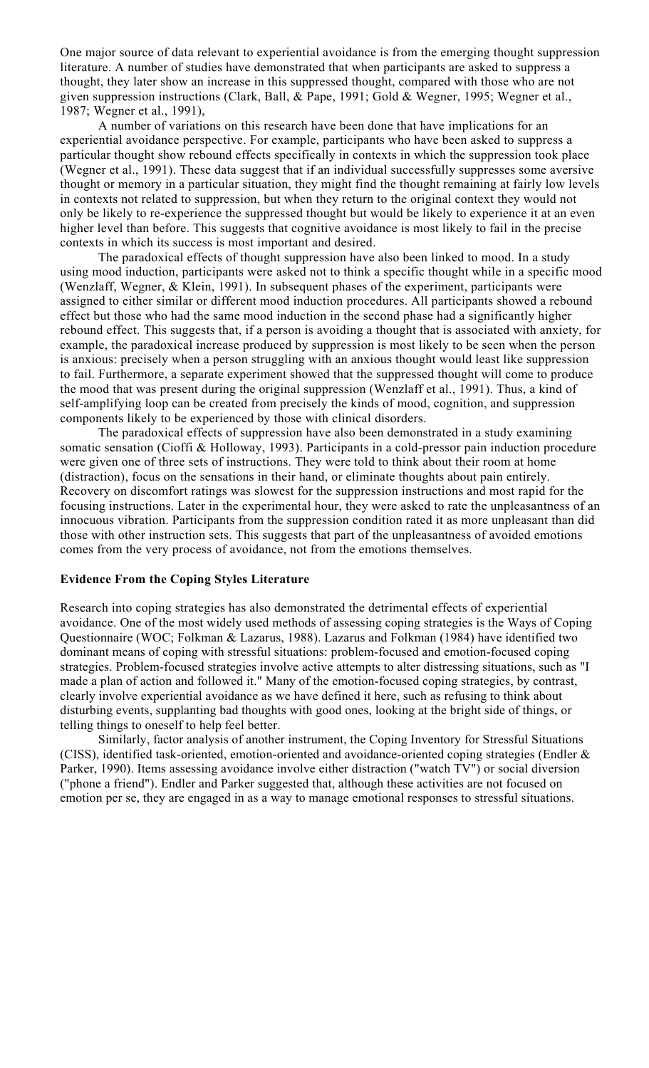One major source of data relevant to experiential avoidance is from the emerging thought suppression literature. A number of studies have demonstrated that when participants are asked to suppress a thought, they later show an increase in this suppressed thought, compared with those who are not given suppression instructions (Clark, Ball, & Pape, 1991; Gold & Wegner, 1995; Wegner et al., 1987; Wegner et al., 1991),

A number of variations on this research have been done that have implications for an experiential avoidance perspective. For example, participants who have been asked to suppress a particular thought show rebound effects specifically in contexts in which the suppression took place (Wegner et al., 1991). These data suggest that if an individual successfully suppresses some aversive thought or memory in a particular situation, they might find the thought remaining at fairly low levels in contexts not related to suppression, but when they return to the original context they would not only be likely to re-experience the suppressed thought but would be likely to experience it at an even higher level than before. This suggests that cognitive avoidance is most likely to fail in the precise contexts in which its success is most important and desired.

The paradoxical effects of thought suppression have also been linked to mood. In a study using mood induction, participants were asked not to think a specific thought while in a specific mood (Wenzlaff, Wegner, & Klein, 1991). In subsequent phases of the experiment, participants were assigned to either similar or different mood induction procedures. All participants showed a rebound effect but those who had the same mood induction in the second phase had a significantly higher rebound effect. This suggests that, if a person is avoiding a thought that is associated with anxiety, for example, the paradoxical increase produced by suppression is most likely to be seen when the person is anxious: precisely when a person struggling with an anxious thought would least like suppression to fail. Furthermore, a separate experiment showed that the suppressed thought will come to produce the mood that was present during the original suppression (Wenzlaff et al., 1991). Thus, a kind of self-amplifying loop can be created from precisely the kinds of mood, cognition, and suppression components likely to be experienced by those with clinical disorders.

The paradoxical effects of suppression have also been demonstrated in a study examining somatic sensation (Cioffi & Holloway, 1993). Participants in a cold-pressor pain induction procedure were given one of three sets of instructions. They were told to think about their room at home (distraction), focus on the sensations in their hand, or eliminate thoughts about pain entirely. Recovery on discomfort ratings was slowest for the suppression instructions and most rapid for the focusing instructions. Later in the experimental hour, they were asked to rate the unpleasantness of an innocuous vibration. Participants from the suppression condition rated it as more unpleasant than did those with other instruction sets. This suggests that part of the unpleasantness of avoided emotions comes from the very process of avoidance, not from the emotions themselves.

### **Evidence From the Coping Styles Literature**

Research into coping strategies has also demonstrated the detrimental effects of experiential avoidance. One of the most widely used methods of assessing coping strategies is the Ways of Coping Questionnaire (WOC; Folkman & Lazarus, 1988). Lazarus and Folkman (1984) have identified two dominant means of coping with stressful situations: problem-focused and emotion-focused coping strategies. Problem-focused strategies involve active attempts to alter distressing situations, such as "I made a plan of action and followed it." Many of the emotion-focused coping strategies, by contrast, clearly involve experiential avoidance as we have defined it here, such as refusing to think about disturbing events, supplanting bad thoughts with good ones, looking at the bright side of things, or telling things to oneself to help feel better.

Similarly, factor analysis of another instrument, the Coping Inventory for Stressful Situations (CISS), identified task-oriented, emotion-oriented and avoidance-oriented coping strategies (Endler & Parker, 1990). Items assessing avoidance involve either distraction ("watch TV") or social diversion ("phone a friend"). Endler and Parker suggested that, although these activities are not focused on emotion per se, they are engaged in as a way to manage emotional responses to stressful situations.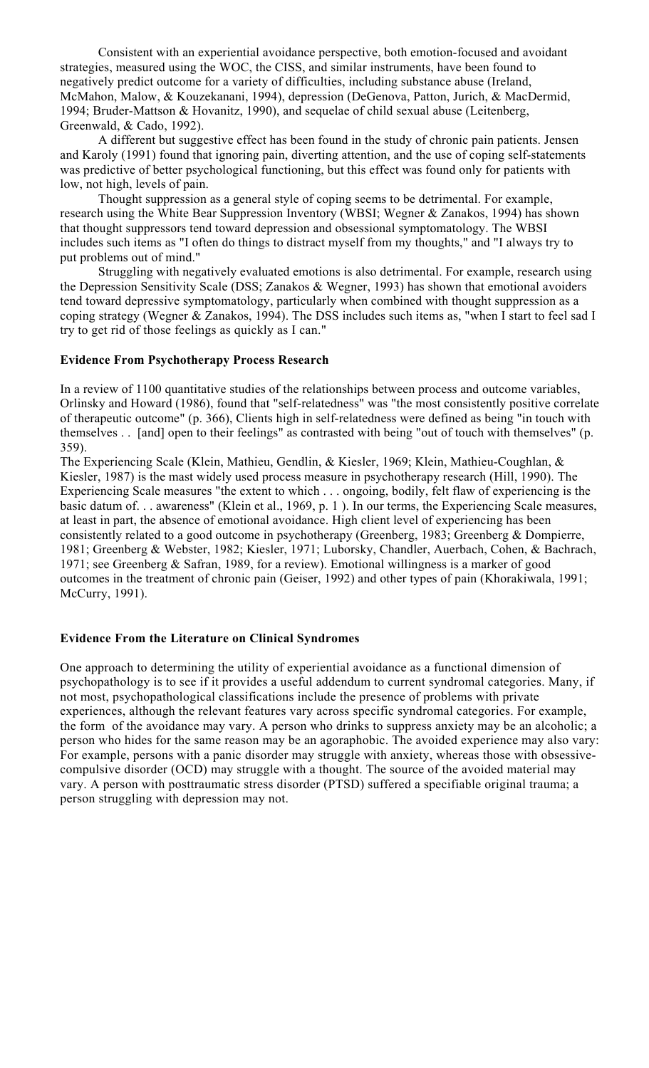Consistent with an experiential avoidance perspective, both emotion-focused and avoidant strategies, measured using the WOC, the CISS, and similar instruments, have been found to negatively predict outcome for a variety of difficulties, including substance abuse (Ireland, McMahon, Malow, & Kouzekanani, 1994), depression (DeGenova, Patton, Jurich, & MacDermid, 1994; Bruder-Mattson & Hovanitz, 1990), and sequelae of child sexual abuse (Leitenberg, Greenwald, & Cado, 1992).

A different but suggestive effect has been found in the study of chronic pain patients. Jensen and Karoly (1991) found that ignoring pain, diverting attention, and the use of coping self-statements was predictive of better psychological functioning, but this effect was found only for patients with low, not high, levels of pain.

Thought suppression as a general style of coping seems to be detrimental. For example, research using the White Bear Suppression Inventory (WBSI; Wegner & Zanakos, 1994) has shown that thought suppressors tend toward depression and obsessional symptomatology. The WBSI includes such items as "I often do things to distract myself from my thoughts," and "I always try to put problems out of mind."

Struggling with negatively evaluated emotions is also detrimental. For example, research using the Depression Sensitivity Scale (DSS; Zanakos & Wegner, 1993) has shown that emotional avoiders tend toward depressive symptomatology, particularly when combined with thought suppression as a coping strategy (Wegner & Zanakos, 1994). The DSS includes such items as, "when I start to feel sad I try to get rid of those feelings as quickly as I can."

# **Evidence From Psychotherapy Process Research**

In a review of 1100 quantitative studies of the relationships between process and outcome variables, Orlinsky and Howard (1986), found that "self-relatedness" was "the most consistently positive correlate of therapeutic outcome" (p. 366), Clients high in self-relatedness were defined as being "in touch with themselves . . [and] open to their feelings" as contrasted with being "out of touch with themselves" (p. 359).

The Experiencing Scale (Klein, Mathieu, Gendlin, & Kiesler, 1969; Klein, Mathieu-Coughlan, & Kiesler, 1987) is the mast widely used process measure in psychotherapy research (Hill, 1990). The Experiencing Scale measures "the extent to which . . . ongoing, bodily, felt flaw of experiencing is the basic datum of. . . awareness" (Klein et al., 1969, p. 1 ). In our terms, the Experiencing Scale measures, at least in part, the absence of emotional avoidance. High client level of experiencing has been consistently related to a good outcome in psychotherapy (Greenberg, 1983; Greenberg & Dompierre, 1981; Greenberg & Webster, 1982; Kiesler, 1971; Luborsky, Chandler, Auerbach, Cohen, & Bachrach, 1971; see Greenberg & Safran, 1989, for a review). Emotional willingness is a marker of good outcomes in the treatment of chronic pain (Geiser, 1992) and other types of pain (Khorakiwala, 1991; McCurry, 1991).

# **Evidence From the Literature on Clinical Syndromes**

One approach to determining the utility of experiential avoidance as a functional dimension of psychopathology is to see if it provides a useful addendum to current syndromal categories. Many, if not most, psychopathological classifications include the presence of problems with private experiences, although the relevant features vary across specific syndromal categories. For example, the form of the avoidance may vary. A person who drinks to suppress anxiety may be an alcoholic; a person who hides for the same reason may be an agoraphobic. The avoided experience may also vary: For example, persons with a panic disorder may struggle with anxiety, whereas those with obsessivecompulsive disorder (OCD) may struggle with a thought. The source of the avoided material may vary. A person with posttraumatic stress disorder (PTSD) suffered a specifiable original trauma; a person struggling with depression may not.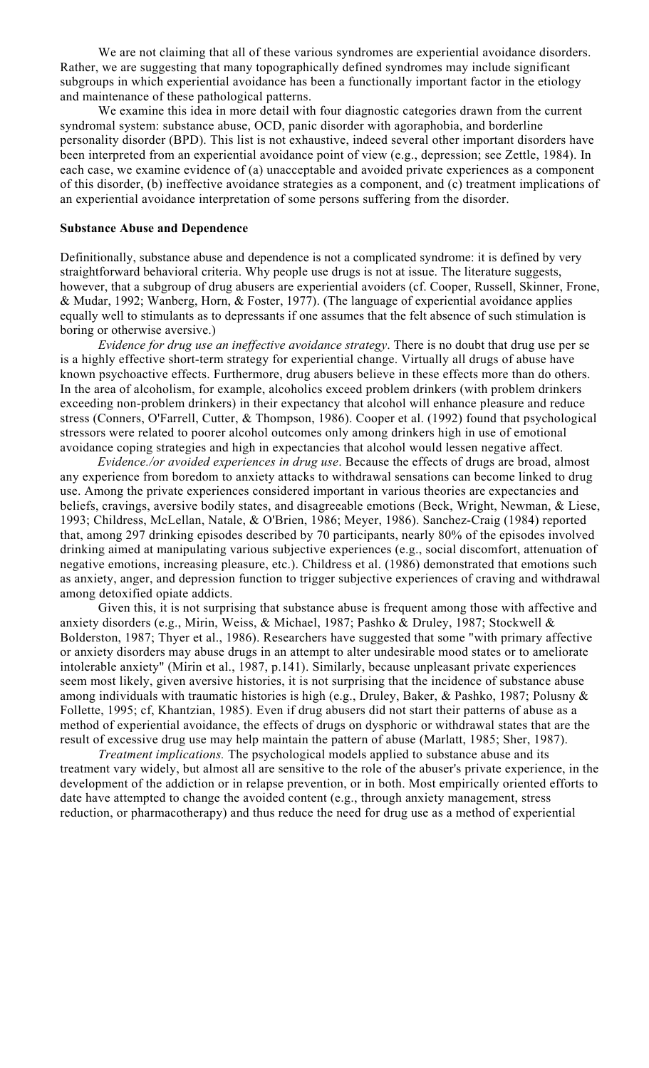We are not claiming that all of these various syndromes are experiential avoidance disorders. Rather, we are suggesting that many topographically defined syndromes may include significant subgroups in which experiential avoidance has been a functionally important factor in the etiology and maintenance of these pathological patterns.

We examine this idea in more detail with four diagnostic categories drawn from the current syndromal system: substance abuse, OCD, panic disorder with agoraphobia, and borderline personality disorder (BPD). This list is not exhaustive, indeed several other important disorders have been interpreted from an experiential avoidance point of view (e.g., depression; see Zettle, 1984). In each case, we examine evidence of (a) unacceptable and avoided private experiences as a component of this disorder, (b) ineffective avoidance strategies as a component, and (c) treatment implications of an experiential avoidance interpretation of some persons suffering from the disorder.

#### **Substance Abuse and Dependence**

Definitionally, substance abuse and dependence is not a complicated syndrome: it is defined by very straightforward behavioral criteria. Why people use drugs is not at issue. The literature suggests, however, that a subgroup of drug abusers are experiential avoiders (cf. Cooper, Russell, Skinner, Frone, & Mudar, 1992; Wanberg, Horn, & Foster, 1977). (The language of experiential avoidance applies equally well to stimulants as to depressants if one assumes that the felt absence of such stimulation is boring or otherwise aversive.)

*Evidence for drug use an ineffective avoidance strategy*. There is no doubt that drug use per se is a highly effective short-term strategy for experiential change. Virtually all drugs of abuse have known psychoactive effects. Furthermore, drug abusers believe in these effects more than do others. In the area of alcoholism, for example, alcoholics exceed problem drinkers (with problem drinkers exceeding non-problem drinkers) in their expectancy that alcohol will enhance pleasure and reduce stress (Conners, O'Farrell, Cutter, & Thompson, 1986). Cooper et al. (1992) found that psychological stressors were related to poorer alcohol outcomes only among drinkers high in use of emotional avoidance coping strategies and high in expectancies that alcohol would lessen negative affect.

*Evidence./or avoided experiences in drug use*. Because the effects of drugs are broad, almost any experience from boredom to anxiety attacks to withdrawal sensations can become linked to drug use. Among the private experiences considered important in various theories are expectancies and beliefs, cravings, aversive bodily states, and disagreeable emotions (Beck, Wright, Newman, & Liese, 1993; Childress, McLellan, Natale, & O'Brien, 1986; Meyer, 1986). Sanchez-Craig (1984) reported that, among 297 drinking episodes described by 70 participants, nearly 80% of the episodes involved drinking aimed at manipulating various subjective experiences (e.g., social discomfort, attenuation of negative emotions, increasing pleasure, etc.). Childress et al. (1986) demonstrated that emotions such as anxiety, anger, and depression function to trigger subjective experiences of craving and withdrawal among detoxified opiate addicts.

Given this, it is not surprising that substance abuse is frequent among those with affective and anxiety disorders (e.g., Mirin, Weiss, & Michael, 1987; Pashko & Druley, 1987; Stockwell & Bolderston, 1987; Thyer et al., 1986). Researchers have suggested that some "with primary affective or anxiety disorders may abuse drugs in an attempt to alter undesirable mood states or to ameliorate intolerable anxiety" (Mirin et al., 1987, p.141). Similarly, because unpleasant private experiences seem most likely, given aversive histories, it is not surprising that the incidence of substance abuse among individuals with traumatic histories is high (e.g., Druley, Baker, & Pashko, 1987; Polusny & Follette, 1995; cf, Khantzian, 1985). Even if drug abusers did not start their patterns of abuse as a method of experiential avoidance, the effects of drugs on dysphoric or withdrawal states that are the result of excessive drug use may help maintain the pattern of abuse (Marlatt, 1985; Sher, 1987).

*Treatment implications.* The psychological models applied to substance abuse and its treatment vary widely, but almost all are sensitive to the role of the abuser's private experience, in the development of the addiction or in relapse prevention, or in both. Most empirically oriented efforts to date have attempted to change the avoided content (e.g., through anxiety management, stress reduction, or pharmacotherapy) and thus reduce the need for drug use as a method of experiential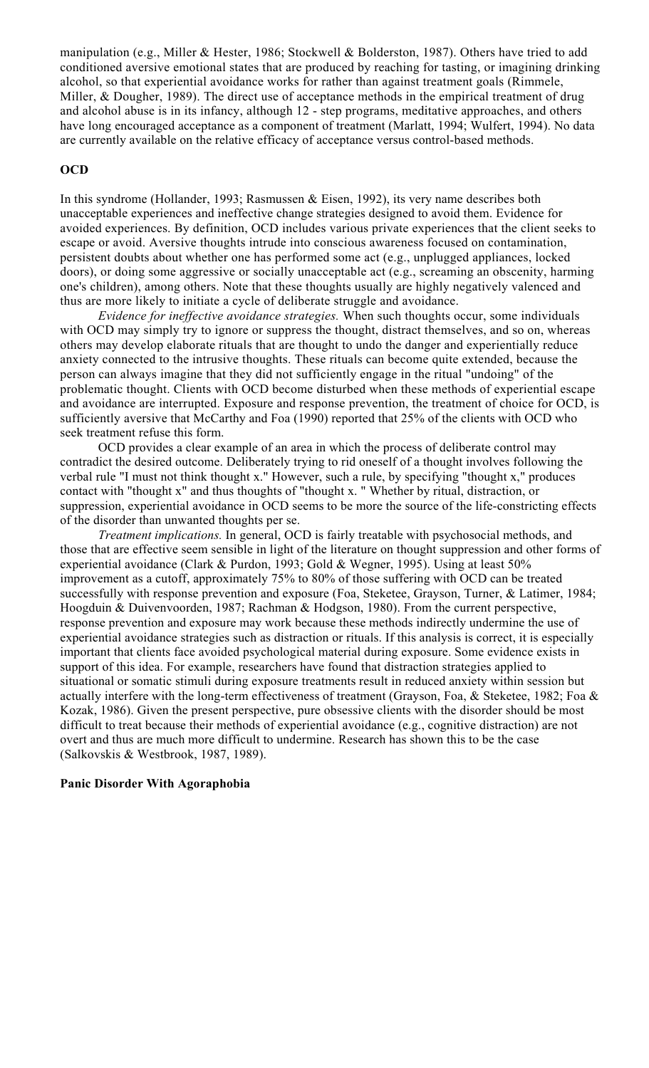manipulation (e.g., Miller & Hester, 1986; Stockwell & Bolderston, 1987). Others have tried to add conditioned aversive emotional states that are produced by reaching for tasting, or imagining drinking alcohol, so that experiential avoidance works for rather than against treatment goals (Rimmele, Miller, & Dougher, 1989). The direct use of acceptance methods in the empirical treatment of drug and alcohol abuse is in its infancy, although 12 - step programs, meditative approaches, and others have long encouraged acceptance as a component of treatment (Marlatt, 1994; Wulfert, 1994). No data are currently available on the relative efficacy of acceptance versus control-based methods.

#### **OCD**

In this syndrome (Hollander, 1993; Rasmussen & Eisen, 1992), its very name describes both unacceptable experiences and ineffective change strategies designed to avoid them. Evidence for avoided experiences. By definition, OCD includes various private experiences that the client seeks to escape or avoid. Aversive thoughts intrude into conscious awareness focused on contamination, persistent doubts about whether one has performed some act (e.g., unplugged appliances, locked doors), or doing some aggressive or socially unacceptable act (e.g., screaming an obscenity, harming one's children), among others. Note that these thoughts usually are highly negatively valenced and thus are more likely to initiate a cycle of deliberate struggle and avoidance.

*Evidence for ineffective avoidance strategies.* When such thoughts occur, some individuals with OCD may simply try to ignore or suppress the thought, distract themselves, and so on, whereas others may develop elaborate rituals that are thought to undo the danger and experientially reduce anxiety connected to the intrusive thoughts. These rituals can become quite extended, because the person can always imagine that they did not sufficiently engage in the ritual "undoing" of the problematic thought. Clients with OCD become disturbed when these methods of experiential escape and avoidance are interrupted. Exposure and response prevention, the treatment of choice for OCD, is sufficiently aversive that McCarthy and Foa (1990) reported that 25% of the clients with OCD who seek treatment refuse this form.

OCD provides a clear example of an area in which the process of deliberate control may contradict the desired outcome. Deliberately trying to rid oneself of a thought involves following the verbal rule "I must not think thought x." However, such a rule, by specifying "thought x," produces contact with "thought x" and thus thoughts of "thought x. " Whether by ritual, distraction, or suppression, experiential avoidance in OCD seems to be more the source of the life-constricting effects of the disorder than unwanted thoughts per se.

*Treatment implications.* In general, OCD is fairly treatable with psychosocial methods, and those that are effective seem sensible in light of the literature on thought suppression and other forms of experiential avoidance (Clark & Purdon, 1993; Gold & Wegner, 1995). Using at least 50% improvement as a cutoff, approximately 75% to 80% of those suffering with OCD can be treated successfully with response prevention and exposure (Foa, Steketee, Grayson, Turner, & Latimer, 1984; Hoogduin & Duivenvoorden, 1987; Rachman & Hodgson, 1980). From the current perspective, response prevention and exposure may work because these methods indirectly undermine the use of experiential avoidance strategies such as distraction or rituals. If this analysis is correct, it is especially important that clients face avoided psychological material during exposure. Some evidence exists in support of this idea. For example, researchers have found that distraction strategies applied to situational or somatic stimuli during exposure treatments result in reduced anxiety within session but actually interfere with the long-term effectiveness of treatment (Grayson, Foa, & Steketee, 1982; Foa & Kozak, 1986). Given the present perspective, pure obsessive clients with the disorder should be most difficult to treat because their methods of experiential avoidance (e.g., cognitive distraction) are not overt and thus are much more difficult to undermine. Research has shown this to be the case (Salkovskis & Westbrook, 1987, 1989).

#### **Panic Disorder With Agoraphobia**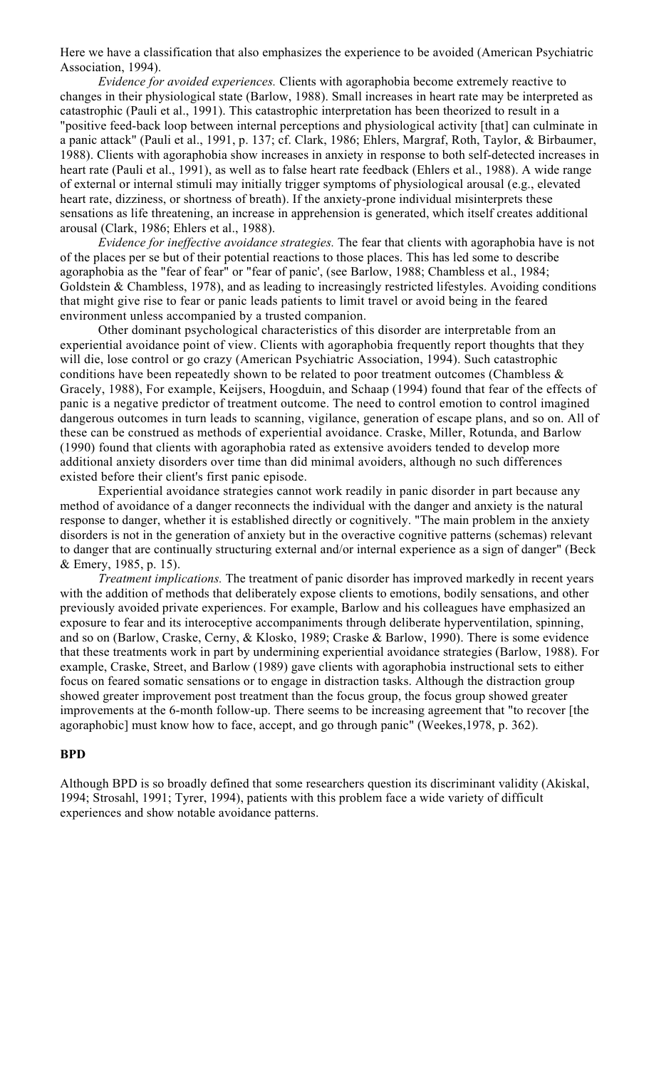Here we have a classification that also emphasizes the experience to be avoided (American Psychiatric Association, 1994).

*Evidence for avoided experiences.* Clients with agoraphobia become extremely reactive to changes in their physiological state (Barlow, 1988). Small increases in heart rate may be interpreted as catastrophic (Pauli et al., 1991). This catastrophic interpretation has been theorized to result in a "positive feed-back loop between internal perceptions and physiological activity [that] can culminate in a panic attack" (Pauli et al., 1991, p. 137; cf. Clark, 1986; Ehlers, Margraf, Roth, Taylor, & Birbaumer, 1988). Clients with agoraphobia show increases in anxiety in response to both self-detected increases in heart rate (Pauli et al., 1991), as well as to false heart rate feedback (Ehlers et al., 1988). A wide range of external or internal stimuli may initially trigger symptoms of physiological arousal (e.g., elevated heart rate, dizziness, or shortness of breath). If the anxiety-prone individual misinterprets these sensations as life threatening, an increase in apprehension is generated, which itself creates additional arousal (Clark, 1986; Ehlers et al., 1988).

*Evidence for ineffective avoidance strategies.* The fear that clients with agoraphobia have is not of the places per se but of their potential reactions to those places. This has led some to describe agoraphobia as the "fear of fear" or "fear of panic', (see Barlow, 1988; Chambless et al., 1984; Goldstein & Chambless, 1978), and as leading to increasingly restricted lifestyles. Avoiding conditions that might give rise to fear or panic leads patients to limit travel or avoid being in the feared environment unless accompanied by a trusted companion.

Other dominant psychological characteristics of this disorder are interpretable from an experiential avoidance point of view. Clients with agoraphobia frequently report thoughts that they will die, lose control or go crazy (American Psychiatric Association, 1994). Such catastrophic conditions have been repeatedly shown to be related to poor treatment outcomes (Chambless & Gracely, 1988), For example, Keijsers, Hoogduin, and Schaap (1994) found that fear of the effects of panic is a negative predictor of treatment outcome. The need to control emotion to control imagined dangerous outcomes in turn leads to scanning, vigilance, generation of escape plans, and so on. All of these can be construed as methods of experiential avoidance. Craske, Miller, Rotunda, and Barlow (1990) found that clients with agoraphobia rated as extensive avoiders tended to develop more additional anxiety disorders over time than did minimal avoiders, although no such differences existed before their client's first panic episode.

Experiential avoidance strategies cannot work readily in panic disorder in part because any method of avoidance of a danger reconnects the individual with the danger and anxiety is the natural response to danger, whether it is established directly or cognitively. "The main problem in the anxiety disorders is not in the generation of anxiety but in the overactive cognitive patterns (schemas) relevant to danger that are continually structuring external and/or internal experience as a sign of danger" (Beck & Emery, 1985, p. 15).

*Treatment implications.* The treatment of panic disorder has improved markedly in recent years with the addition of methods that deliberately expose clients to emotions, bodily sensations, and other previously avoided private experiences. For example, Barlow and his colleagues have emphasized an exposure to fear and its interoceptive accompaniments through deliberate hyperventilation, spinning, and so on (Barlow, Craske, Cerny, & Klosko, 1989; Craske & Barlow, 1990). There is some evidence that these treatments work in part by undermining experiential avoidance strategies (Barlow, 1988). For example, Craske, Street, and Barlow (1989) gave clients with agoraphobia instructional sets to either focus on feared somatic sensations or to engage in distraction tasks. Although the distraction group showed greater improvement post treatment than the focus group, the focus group showed greater improvements at the 6-month follow-up. There seems to be increasing agreement that "to recover [the agoraphobic] must know how to face, accept, and go through panic" (Weekes,1978, p. 362).

#### **BPD**

Although BPD is so broadly defined that some researchers question its discriminant validity (Akiskal, 1994; Strosahl, 1991; Tyrer, 1994), patients with this problem face a wide variety of difficult experiences and show notable avoidance patterns.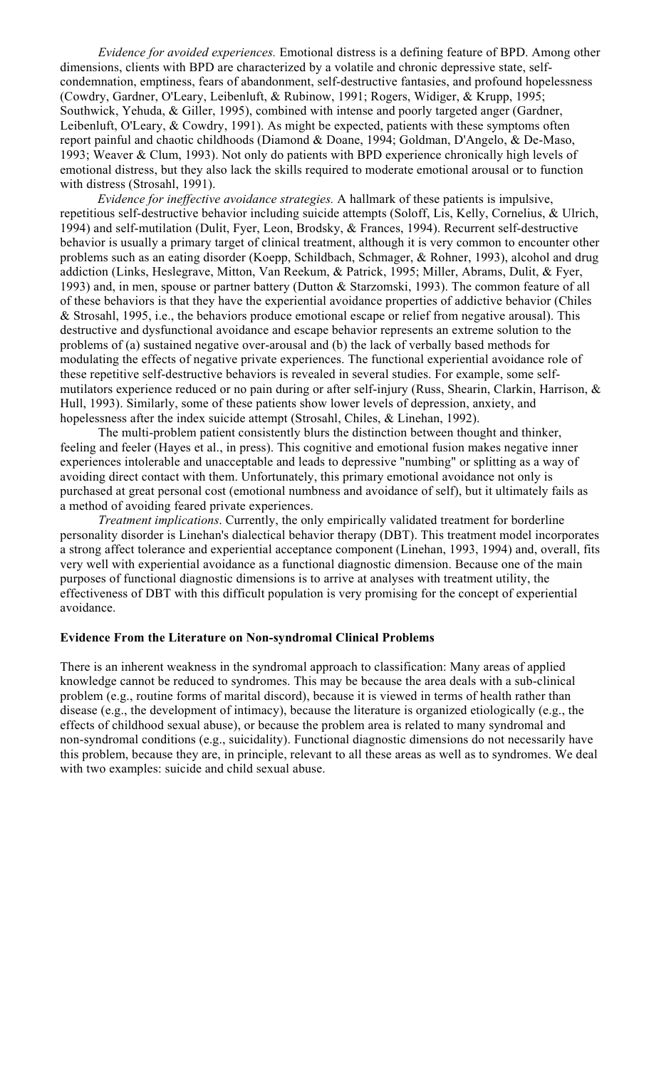*Evidence for avoided experiences.* Emotional distress is a defining feature of BPD. Among other dimensions, clients with BPD are characterized by a volatile and chronic depressive state, selfcondemnation, emptiness, fears of abandonment, self-destructive fantasies, and profound hopelessness (Cowdry, Gardner, O'Leary, Leibenluft, & Rubinow, 1991; Rogers, Widiger, & Krupp, 1995; Southwick, Yehuda, & Giller, 1995), combined with intense and poorly targeted anger (Gardner, Leibenluft, O'Leary, & Cowdry, 1991). As might be expected, patients with these symptoms often report painful and chaotic childhoods (Diamond & Doane, 1994; Goldman, D'Angelo, & De-Maso, 1993; Weaver & Clum, 1993). Not only do patients with BPD experience chronically high levels of emotional distress, but they also lack the skills required to moderate emotional arousal or to function with distress (Strosahl, 1991).

 *Evidence for ineffective avoidance strategies.* A hallmark of these patients is impulsive, repetitious self-destructive behavior including suicide attempts (Soloff, Lis, Kelly, Cornelius, & Ulrich, 1994) and self-mutilation (Dulit, Fyer, Leon, Brodsky, & Frances, 1994). Recurrent self-destructive behavior is usually a primary target of clinical treatment, although it is very common to encounter other problems such as an eating disorder (Koepp, Schildbach, Schmager, & Rohner, 1993), alcohol and drug addiction (Links, Heslegrave, Mitton, Van Reekum, & Patrick, 1995; Miller, Abrams, Dulit, & Fyer, 1993) and, in men, spouse or partner battery (Dutton & Starzomski, 1993). The common feature of all of these behaviors is that they have the experiential avoidance properties of addictive behavior (Chiles & Strosahl, 1995, i.e., the behaviors produce emotional escape or relief from negative arousal). This destructive and dysfunctional avoidance and escape behavior represents an extreme solution to the problems of (a) sustained negative over-arousal and (b) the lack of verbally based methods for modulating the effects of negative private experiences. The functional experiential avoidance role of these repetitive self-destructive behaviors is revealed in several studies. For example, some selfmutilators experience reduced or no pain during or after self-injury (Russ, Shearin, Clarkin, Harrison, & Hull, 1993). Similarly, some of these patients show lower levels of depression, anxiety, and hopelessness after the index suicide attempt (Strosahl, Chiles, & Linehan, 1992).

The multi-problem patient consistently blurs the distinction between thought and thinker, feeling and feeler (Hayes et al., in press). This cognitive and emotional fusion makes negative inner experiences intolerable and unacceptable and leads to depressive "numbing" or splitting as a way of avoiding direct contact with them. Unfortunately, this primary emotional avoidance not only is purchased at great personal cost (emotional numbness and avoidance of self), but it ultimately fails as a method of avoiding feared private experiences.

*Treatment implications*. Currently, the only empirically validated treatment for borderline personality disorder is Linehan's dialectical behavior therapy (DBT). This treatment model incorporates a strong affect tolerance and experiential acceptance component (Linehan, 1993, 1994) and, overall, fits very well with experiential avoidance as a functional diagnostic dimension. Because one of the main purposes of functional diagnostic dimensions is to arrive at analyses with treatment utility, the effectiveness of DBT with this difficult population is very promising for the concept of experiential avoidance.

#### **Evidence From the Literature on Non-syndromal Clinical Problems**

There is an inherent weakness in the syndromal approach to classification: Many areas of applied knowledge cannot be reduced to syndromes. This may be because the area deals with a sub-clinical problem (e.g., routine forms of marital discord), because it is viewed in terms of health rather than disease (e.g., the development of intimacy), because the literature is organized etiologically (e.g., the effects of childhood sexual abuse), or because the problem area is related to many syndromal and non-syndromal conditions (e.g., suicidality). Functional diagnostic dimensions do not necessarily have this problem, because they are, in principle, relevant to all these areas as well as to syndromes. We deal with two examples: suicide and child sexual abuse.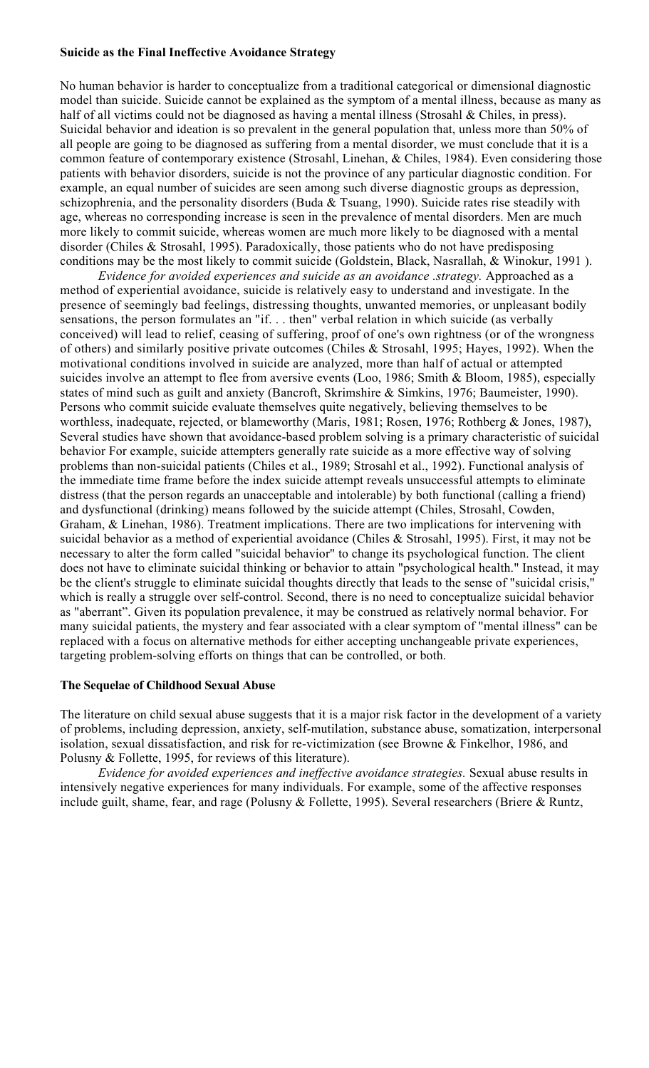#### **Suicide as the Final Ineffective Avoidance Strategy**

No human behavior is harder to conceptualize from a traditional categorical or dimensional diagnostic model than suicide. Suicide cannot be explained as the symptom of a mental illness, because as many as half of all victims could not be diagnosed as having a mental illness (Strosahl & Chiles, in press). Suicidal behavior and ideation is so prevalent in the general population that, unless more than 50% of all people are going to be diagnosed as suffering from a mental disorder, we must conclude that it is a common feature of contemporary existence (Strosahl, Linehan, & Chiles, 1984). Even considering those patients with behavior disorders, suicide is not the province of any particular diagnostic condition. For example, an equal number of suicides are seen among such diverse diagnostic groups as depression, schizophrenia, and the personality disorders (Buda & Tsuang, 1990). Suicide rates rise steadily with age, whereas no corresponding increase is seen in the prevalence of mental disorders. Men are much more likely to commit suicide, whereas women are much more likely to be diagnosed with a mental disorder (Chiles & Strosahl, 1995). Paradoxically, those patients who do not have predisposing conditions may be the most likely to commit suicide (Goldstein, Black, Nasrallah, & Winokur, 1991 ).

*Evidence for avoided experiences and suicide as an avoidance .strategy.* Approached as a method of experiential avoidance, suicide is relatively easy to understand and investigate. In the presence of seemingly bad feelings, distressing thoughts, unwanted memories, or unpleasant bodily sensations, the person formulates an "if. . . then" verbal relation in which suicide (as verbally conceived) will lead to relief, ceasing of suffering, proof of one's own rightness (or of the wrongness of others) and similarly positive private outcomes (Chiles & Strosahl, 1995; Hayes, 1992). When the motivational conditions involved in suicide are analyzed, more than half of actual or attempted suicides involve an attempt to flee from aversive events (Loo, 1986; Smith & Bloom, 1985), especially states of mind such as guilt and anxiety (Bancroft, Skrimshire & Simkins, 1976; Baumeister, 1990). Persons who commit suicide evaluate themselves quite negatively, believing themselves to be worthless, inadequate, rejected, or blameworthy (Maris, 1981; Rosen, 1976; Rothberg & Jones, 1987), Several studies have shown that avoidance-based problem solving is a primary characteristic of suicidal behavior For example, suicide attempters generally rate suicide as a more effective way of solving problems than non-suicidal patients (Chiles et al., 1989; Strosahl et al., 1992). Functional analysis of the immediate time frame before the index suicide attempt reveals unsuccessful attempts to eliminate distress (that the person regards an unacceptable and intolerable) by both functional (calling a friend) and dysfunctional (drinking) means followed by the suicide attempt (Chiles, Strosahl, Cowden, Graham, & Linehan, 1986). Treatment implications. There are two implications for intervening with suicidal behavior as a method of experiential avoidance (Chiles & Strosahl, 1995). First, it may not be necessary to alter the form called "suicidal behavior" to change its psychological function. The client does not have to eliminate suicidal thinking or behavior to attain "psychological health." Instead, it may be the client's struggle to eliminate suicidal thoughts directly that leads to the sense of "suicidal crisis," which is really a struggle over self-control. Second, there is no need to conceptualize suicidal behavior as "aberrant". Given its population prevalence, it may be construed as relatively normal behavior. For many suicidal patients, the mystery and fear associated with a clear symptom of "mental illness" can be replaced with a focus on alternative methods for either accepting unchangeable private experiences, targeting problem-solving efforts on things that can be controlled, or both.

# **The Sequelae of Childhood Sexual Abuse**

The literature on child sexual abuse suggests that it is a major risk factor in the development of a variety of problems, including depression, anxiety, self-mutilation, substance abuse, somatization, interpersonal isolation, sexual dissatisfaction, and risk for re-victimization (see Browne & Finkelhor, 1986, and Polusny & Follette, 1995, for reviews of this literature).

*Evidence for avoided experiences and ineffective avoidance strategies.* Sexual abuse results in intensively negative experiences for many individuals. For example, some of the affective responses include guilt, shame, fear, and rage (Polusny & Follette, 1995). Several researchers (Briere & Runtz,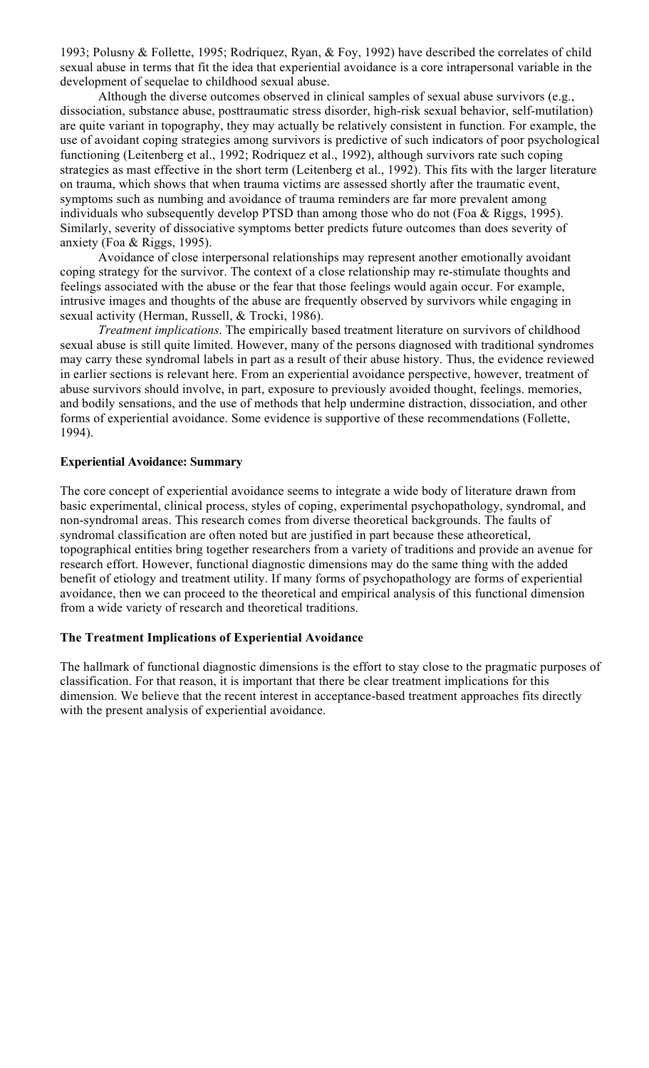1993; Polusny & Follette, 1995; Rodriquez, Ryan, & Foy, 1992) have described the correlates of child sexual abuse in terms that fit the idea that experiential avoidance is a core intrapersonal variable in the development of sequelae to childhood sexual abuse.

Although the diverse outcomes observed in clinical samples of sexual abuse survivors (e.g., dissociation, substance abuse, posttraumatic stress disorder, high-risk sexual behavior, self-mutilation) are quite variant in topography, they may actually be relatively consistent in function. For example, the use of avoidant coping strategies among survivors is predictive of such indicators of poor psychological functioning (Leitenberg et al., 1992; Rodriquez et al., 1992), although survivors rate such coping strategies as mast effective in the short term (Leitenberg et al., 1992). This fits with the larger literature on trauma, which shows that when trauma victims are assessed shortly after the traumatic event, symptoms such as numbing and avoidance of trauma reminders are far more prevalent among individuals who subsequently develop PTSD than among those who do not (Foa  $\&$  Riggs, 1995). Similarly, severity of dissociative symptoms better predicts future outcomes than does severity of anxiety (Foa & Riggs, 1995).

Avoidance of close interpersonal relationships may represent another emotionally avoidant coping strategy for the survivor. The context of a close relationship may re-stimulate thoughts and feelings associated with the abuse or the fear that those feelings would again occur. For example, intrusive images and thoughts of the abuse are frequently observed by survivors while engaging in sexual activity (Herman, Russell, & Trocki, 1986).

*Treatment implications*. The empirically based treatment literature on survivors of childhood sexual abuse is still quite limited. However, many of the persons diagnosed with traditional syndromes may carry these syndromal labels in part as a result of their abuse history. Thus, the evidence reviewed in earlier sections is relevant here. From an experiential avoidance perspective, however, treatment of abuse survivors should involve, in part, exposure to previously avoided thought, feelings. memories, and bodily sensations, and the use of methods that help undermine distraction, dissociation, and other forms of experiential avoidance. Some evidence is supportive of these recommendations (Follette, 1994).

### **Experiential Avoidance: Summary**

The core concept of experiential avoidance seems to integrate a wide body of literature drawn from basic experimental, clinical process, styles of coping, experimental psychopathology, syndromal, and non-syndromal areas. This research comes from diverse theoretical backgrounds. The faults of syndromal classification are often noted but are justified in part because these atheoretical, topographical entities bring together researchers from a variety of traditions and provide an avenue for research effort. However, functional diagnostic dimensions may do the same thing with the added benefit of etiology and treatment utility. If many forms of psychopathology are forms of experiential avoidance, then we can proceed to the theoretical and empirical analysis of this functional dimension from a wide variety of research and theoretical traditions.

### **The Treatment Implications of Experiential Avoidance**

The hallmark of functional diagnostic dimensions is the effort to stay close to the pragmatic purposes of classification. For that reason, it is important that there be clear treatment implications for this dimension. We believe that the recent interest in acceptance-based treatment approaches fits directly with the present analysis of experiential avoidance.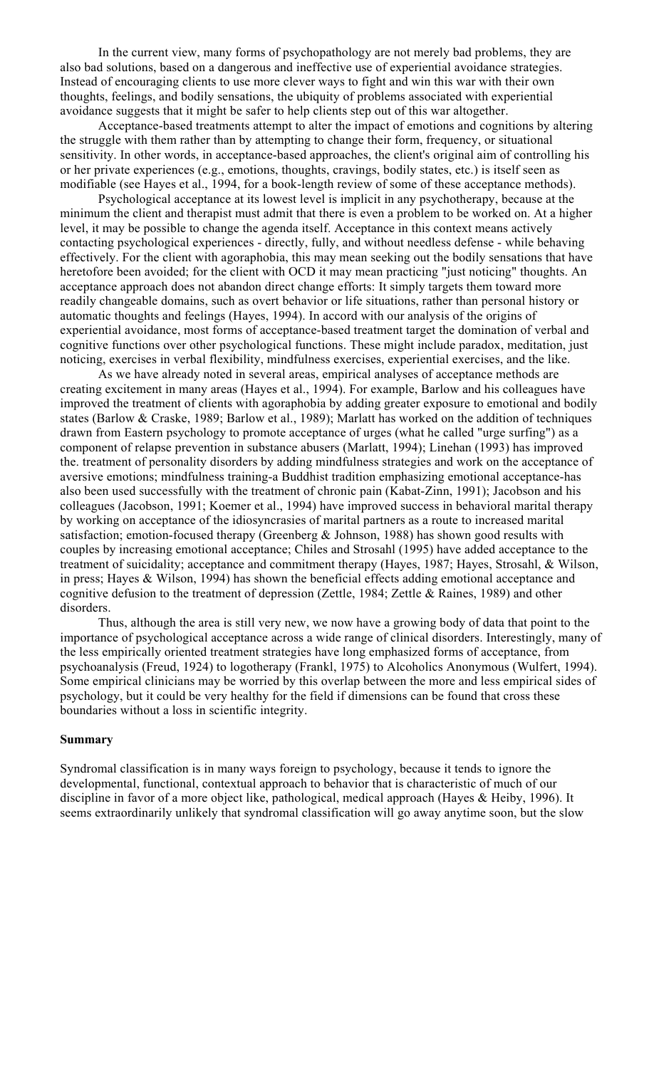In the current view, many forms of psychopathology are not merely bad problems, they are also bad solutions, based on a dangerous and ineffective use of experiential avoidance strategies. Instead of encouraging clients to use more clever ways to fight and win this war with their own thoughts, feelings, and bodily sensations, the ubiquity of problems associated with experiential avoidance suggests that it might be safer to help clients step out of this war altogether.

Acceptance-based treatments attempt to alter the impact of emotions and cognitions by altering the struggle with them rather than by attempting to change their form, frequency, or situational sensitivity. In other words, in acceptance-based approaches, the client's original aim of controlling his or her private experiences (e.g., emotions, thoughts, cravings, bodily states, etc.) is itself seen as modifiable (see Hayes et al., 1994, for a book-length review of some of these acceptance methods).

Psychological acceptance at its lowest level is implicit in any psychotherapy, because at the minimum the client and therapist must admit that there is even a problem to be worked on. At a higher level, it may be possible to change the agenda itself. Acceptance in this context means actively contacting psychological experiences - directly, fully, and without needless defense - while behaving effectively. For the client with agoraphobia, this may mean seeking out the bodily sensations that have heretofore been avoided; for the client with OCD it may mean practicing "just noticing" thoughts. An acceptance approach does not abandon direct change efforts: It simply targets them toward more readily changeable domains, such as overt behavior or life situations, rather than personal history or automatic thoughts and feelings (Hayes, 1994). In accord with our analysis of the origins of experiential avoidance, most forms of acceptance-based treatment target the domination of verbal and cognitive functions over other psychological functions. These might include paradox, meditation, just noticing, exercises in verbal flexibility, mindfulness exercises, experiential exercises, and the like.

As we have already noted in several areas, empirical analyses of acceptance methods are creating excitement in many areas (Hayes et al., 1994). For example, Barlow and his colleagues have improved the treatment of clients with agoraphobia by adding greater exposure to emotional and bodily states (Barlow & Craske, 1989; Barlow et al., 1989); Marlatt has worked on the addition of techniques drawn from Eastern psychology to promote acceptance of urges (what he called "urge surfing") as a component of relapse prevention in substance abusers (Marlatt, 1994); Linehan (1993) has improved the. treatment of personality disorders by adding mindfulness strategies and work on the acceptance of aversive emotions; mindfulness training-a Buddhist tradition emphasizing emotional acceptance-has also been used successfully with the treatment of chronic pain (Kabat-Zinn, 1991); Jacobson and his colleagues (Jacobson, 1991; Koemer et al., 1994) have improved success in behavioral marital therapy by working on acceptance of the idiosyncrasies of marital partners as a route to increased marital satisfaction; emotion-focused therapy (Greenberg & Johnson, 1988) has shown good results with couples by increasing emotional acceptance; Chiles and Strosahl (1995) have added acceptance to the treatment of suicidality; acceptance and commitment therapy (Hayes, 1987; Hayes, Strosahl, & Wilson, in press; Hayes & Wilson, 1994) has shown the beneficial effects adding emotional acceptance and cognitive defusion to the treatment of depression (Zettle, 1984; Zettle & Raines, 1989) and other disorders.

Thus, although the area is still very new, we now have a growing body of data that point to the importance of psychological acceptance across a wide range of clinical disorders. Interestingly, many of the less empirically oriented treatment strategies have long emphasized forms of acceptance, from psychoanalysis (Freud, 1924) to logotherapy (Frankl, 1975) to Alcoholics Anonymous (Wulfert, 1994). Some empirical clinicians may be worried by this overlap between the more and less empirical sides of psychology, but it could be very healthy for the field if dimensions can be found that cross these boundaries without a loss in scientific integrity.

#### **Summary**

Syndromal classification is in many ways foreign to psychology, because it tends to ignore the developmental, functional, contextual approach to behavior that is characteristic of much of our discipline in favor of a more object like, pathological, medical approach (Hayes & Heiby, 1996). It seems extraordinarily unlikely that syndromal classification will go away anytime soon, but the slow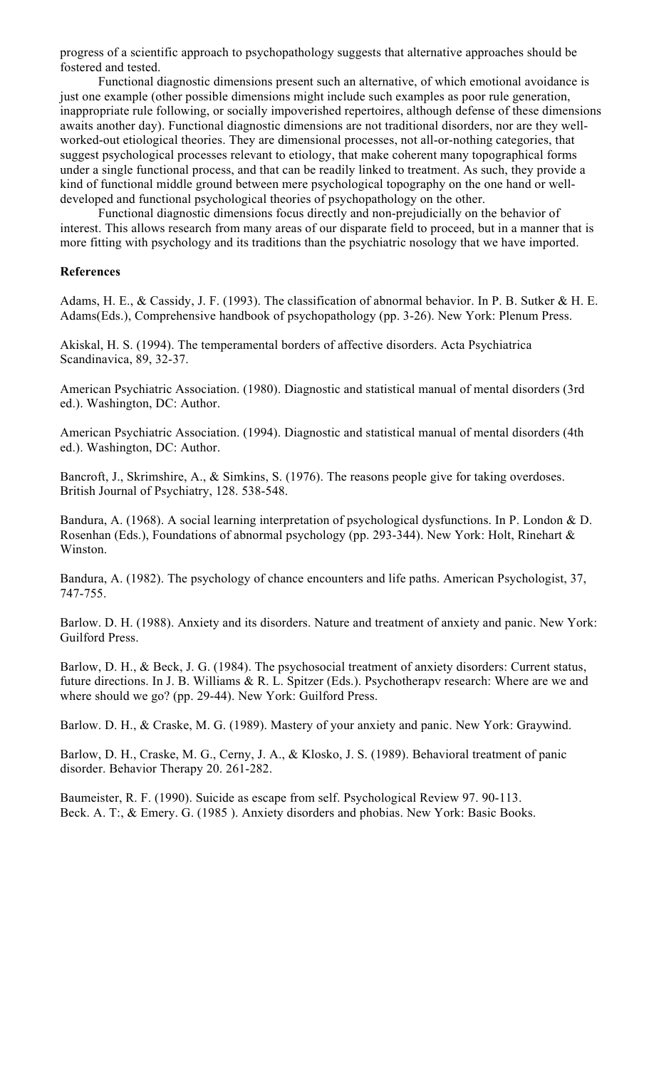progress of a scientific approach to psychopathology suggests that alternative approaches should be fostered and tested.

Functional diagnostic dimensions present such an alternative, of which emotional avoidance is just one example (other possible dimensions might include such examples as poor rule generation, inappropriate rule following, or socially impoverished repertoires, although defense of these dimensions awaits another day). Functional diagnostic dimensions are not traditional disorders, nor are they wellworked-out etiological theories. They are dimensional processes, not all-or-nothing categories, that suggest psychological processes relevant to etiology, that make coherent many topographical forms under a single functional process, and that can be readily linked to treatment. As such, they provide a kind of functional middle ground between mere psychological topography on the one hand or welldeveloped and functional psychological theories of psychopathology on the other.

Functional diagnostic dimensions focus directly and non-prejudicially on the behavior of interest. This allows research from many areas of our disparate field to proceed, but in a manner that is more fitting with psychology and its traditions than the psychiatric nosology that we have imported.

# **References**

Adams, H. E., & Cassidy, J. F. (1993). The classification of abnormal behavior. In P. B. Sutker & H. E. Adams(Eds.), Comprehensive handbook of psychopathology (pp. 3-26). New York: Plenum Press.

Akiskal, H. S. (1994). The temperamental borders of affective disorders. Acta Psychiatrica Scandinavica, 89, 32-37.

American Psychiatric Association. (1980). Diagnostic and statistical manual of mental disorders (3rd ed.). Washington, DC: Author.

American Psychiatric Association. (1994). Diagnostic and statistical manual of mental disorders (4th ed.). Washington, DC: Author.

Bancroft, J., Skrimshire, A., & Simkins, S. (1976). The reasons people give for taking overdoses. British Journal of Psychiatry, 128. 538-548.

Bandura, A. (1968). A social learning interpretation of psychological dysfunctions. In P. London & D. Rosenhan (Eds.), Foundations of abnormal psychology (pp. 293-344). New York: Holt, Rinehart & Winston.

Bandura, A. (1982). The psychology of chance encounters and life paths. American Psychologist, 37, 747-755.

Barlow. D. H. (1988). Anxiety and its disorders. Nature and treatment of anxiety and panic. New York: Guilford Press.

Barlow, D. H., & Beck, J. G. (1984). The psychosocial treatment of anxiety disorders: Current status, future directions. In J. B. Williams & R. L. Spitzer (Eds.). Psychotherapv research: Where are we and where should we go? (pp. 29-44). New York: Guilford Press.

Barlow. D. H., & Craske, M. G. (1989). Mastery of your anxiety and panic. New York: Graywind.

Barlow, D. H., Craske, M. G., Cerny, J. A., & Klosko, J. S. (1989). Behavioral treatment of panic disorder. Behavior Therapy 20. 261-282.

Baumeister, R. F. (1990). Suicide as escape from self. Psychological Review 97. 90-113. Beck. A. T., & Emery. G. (1985). Anxiety disorders and phobias. New York: Basic Books.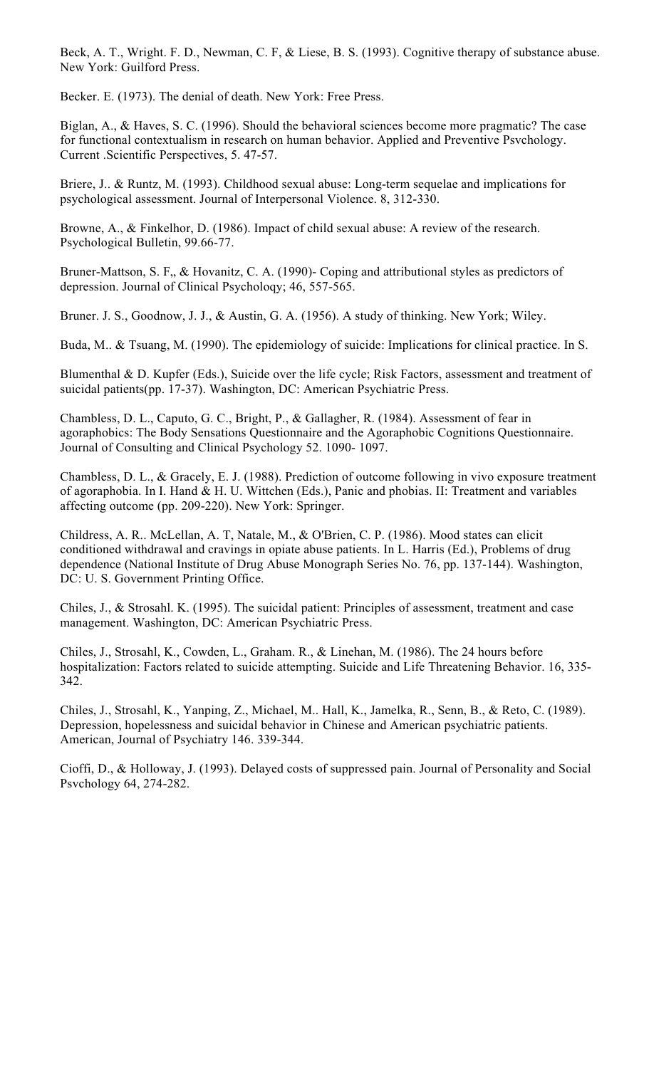Beck, A. T., Wright. F. D., Newman, C. F, & Liese, B. S. (1993). Cognitive therapy of substance abuse. New York: Guilford Press.

Becker. E. (1973). The denial of death. New York: Free Press.

Biglan, A., & Haves, S. C. (1996). Should the behavioral sciences become more pragmatic? The case for functional contextualism in research on human behavior. Applied and Preventive Psvchology. Current .Scientific Perspectives, 5. 47-57.

Briere, J.. & Runtz, M. (1993). Childhood sexual abuse: Long-term sequelae and implications for psychological assessment. Journal of Interpersonal Violence. 8, 312-330.

Browne, A., & Finkelhor, D. (1986). Impact of child sexual abuse: A review of the research. Psychological Bulletin, 99.66-77.

Bruner-Mattson, S. F., & Hovanitz, C. A. (1990)- Coping and attributional styles as predictors of depression. Journal of Clinical Psycholoqy; 46, 557-565.

Bruner. J. S., Goodnow, J. J., & Austin, G. A. (1956). A study of thinking. New York; Wiley.

Buda, M.. & Tsuang, M. (1990). The epidemiology of suicide: Implications for clinical practice. In S.

Blumenthal & D. Kupfer (Eds.), Suicide over the life cycle; Risk Factors, assessment and treatment of suicidal patients(pp. 17-37). Washington, DC: American Psychiatric Press.

Chambless, D. L., Caputo, G. C., Bright, P., & Gallagher, R. (1984). Assessment of fear in agoraphobics: The Body Sensations Questionnaire and the Agoraphobic Cognitions Questionnaire. Journal of Consulting and Clinical Psychology 52. 1090- 1097.

Chambless, D. L., & Gracely, E. J. (1988). Prediction of outcome following in vivo exposure treatment of agoraphobia. In I. Hand & H. U. Wittchen (Eds.), Panic and phobias. II: Treatment and variables affecting outcome (pp. 209-220). New York: Springer.

Childress, A. R.. McLellan, A. T, Natale, M., & O'Brien, C. P. (1986). Mood states can elicit conditioned withdrawal and cravings in opiate abuse patients. In L. Harris (Ed.), Problems of drug dependence (National Institute of Drug Abuse Monograph Series No. 76, pp. 137-144). Washington, DC: U. S. Government Printing Office.

Chiles, J., & Strosahl. K. (1995). The suicidal patient: Principles of assessment, treatment and case management. Washington, DC: American Psychiatric Press.

Chiles, J., Strosahl, K., Cowden, L., Graham. R., & Linehan, M. (1986). The 24 hours before hospitalization: Factors related to suicide attempting. Suicide and Life Threatening Behavior. 16, 335- 342.

Chiles, J., Strosahl, K., Yanping, Z., Michael, M.. Hall, K., Jamelka, R., Senn, B., & Reto, C. (1989). Depression, hopelessness and suicidal behavior in Chinese and American psychiatric patients. American, Journal of Psychiatry 146. 339-344.

Cioffi, D., & Holloway, J. (1993). Delayed costs of suppressed pain. Journal of Personality and Social Psvchology 64, 274-282.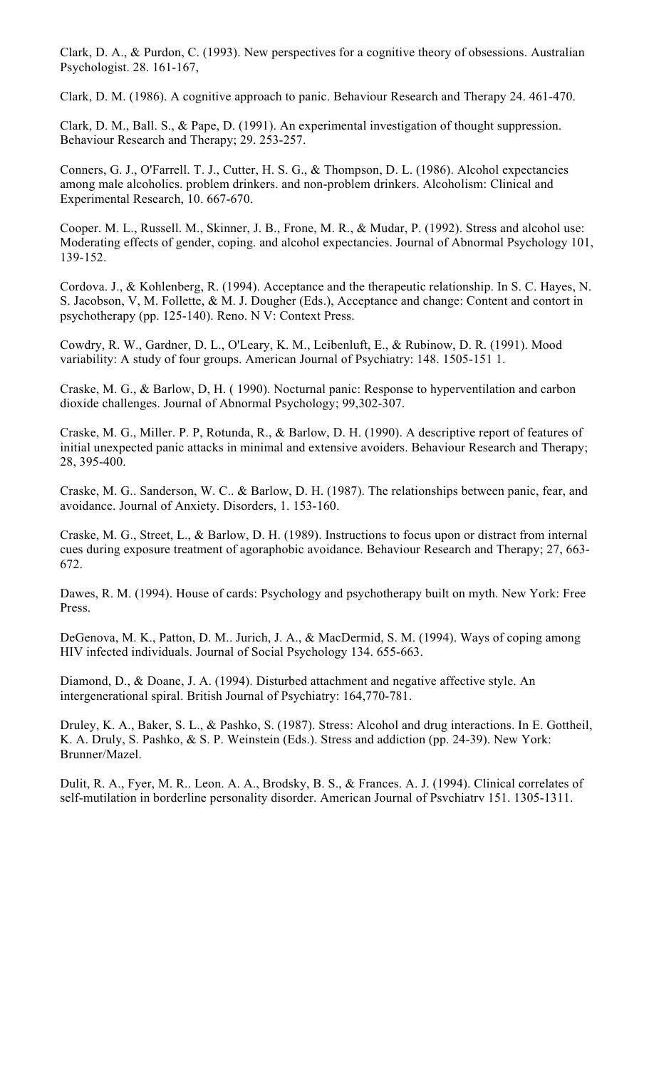Clark, D. A., & Purdon, C. (1993). New perspectives for a cognitive theory of obsessions. Australian Psychologist. 28. 161-167,

Clark, D. M. (1986). A cognitive approach to panic. Behaviour Research and Therapy 24. 461-470.

Clark, D. M., Ball. S., & Pape, D. (1991). An experimental investigation of thought suppression. Behaviour Research and Therapy; 29. 253-257.

Conners, G. J., O'Farrell. T. J., Cutter, H. S. G., & Thompson, D. L. (1986). Alcohol expectancies among male alcoholics. problem drinkers. and non-problem drinkers. Alcoholism: Clinical and Experimental Research, 10. 667-670.

Cooper. M. L., Russell. M., Skinner, J. B., Frone, M. R., & Mudar, P. (1992). Stress and alcohol use: Moderating effects of gender, coping. and alcohol expectancies. Journal of Abnormal Psychology 101, 139-152.

Cordova. J., & Kohlenberg, R. (1994). Acceptance and the therapeutic relationship. In S. C. Hayes, N. S. Jacobson, V, M. Follette, & M. J. Dougher (Eds.), Acceptance and change: Content and contort in psychotherapy (pp. 125-140). Reno. N V: Context Press.

Cowdry, R. W., Gardner, D. L., O'Leary, K. M., Leibenluft, E., & Rubinow, D. R. (1991). Mood variability: A study of four groups. American Journal of Psychiatry: 148. 1505-151 1.

Craske, M. G., & Barlow, D, H. ( 1990). Nocturnal panic: Response to hyperventilation and carbon dioxide challenges. Journal of Abnormal Psychology; 99,302-307.

Craske, M. G., Miller. P. P, Rotunda, R., & Barlow, D. H. (1990). A descriptive report of features of initial unexpected panic attacks in minimal and extensive avoiders. Behaviour Research and Therapy; 28, 395-400.

Craske, M. G.. Sanderson, W. C.. & Barlow, D. H. (1987). The relationships between panic, fear, and avoidance. Journal of Anxiety. Disorders, 1. 153-160.

Craske, M. G., Street, L., & Barlow, D. H. (1989). Instructions to focus upon or distract from internal cues during exposure treatment of agoraphobic avoidance. Behaviour Research and Therapy; 27, 663- 672.

Dawes, R. M. (1994). House of cards: Psychology and psychotherapy built on myth. New York: Free Press.

DeGenova, M. K., Patton, D. M.. Jurich, J. A., & MacDermid, S. M. (1994). Ways of coping among HIV infected individuals. Journal of Social Psychology 134. 655-663.

Diamond, D., & Doane, J. A. (1994). Disturbed attachment and negative affective style. An intergenerational spiral. British Journal of Psychiatry: 164,770-781.

Druley, K. A., Baker, S. L., & Pashko, S. (1987). Stress: Alcohol and drug interactions. In E. Gottheil, K. A. Druly, S. Pashko, & S. P. Weinstein (Eds.). Stress and addiction (pp. 24-39). New York: Brunner/Mazel.

Dulit, R. A., Fyer, M. R.. Leon. A. A., Brodsky, B. S., & Frances. A. J. (1994). Clinical correlates of self-mutilation in borderline personality disorder. American Journal of Psvchiatrv 151. 1305-1311.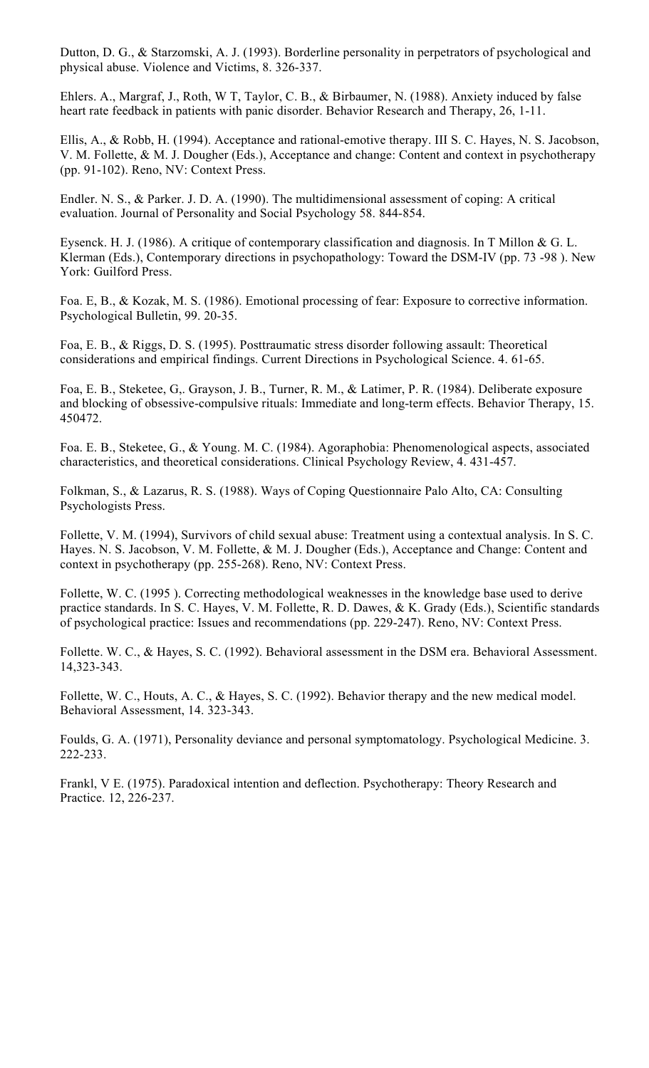Dutton, D. G., & Starzomski, A. J. (1993). Borderline personality in perpetrators of psychological and physical abuse. Violence and Victims, 8. 326-337.

Ehlers. A., Margraf, J., Roth, W T, Taylor, C. B., & Birbaumer, N. (1988). Anxiety induced by false heart rate feedback in patients with panic disorder. Behavior Research and Therapy, 26, 1-11.

Ellis, A., & Robb, H. (1994). Acceptance and rational-emotive therapy. III S. C. Hayes, N. S. Jacobson, V. M. Follette, & M. J. Dougher (Eds.), Acceptance and change: Content and context in psychotherapy (pp. 91-102). Reno, NV: Context Press.

Endler. N. S., & Parker. J. D. A. (1990). The multidimensional assessment of coping: A critical evaluation. Journal of Personality and Social Psychology 58. 844-854.

Eysenck. H. J. (1986). A critique of contemporary classification and diagnosis. In T Millon & G. L. Klerman (Eds.), Contemporary directions in psychopathology: Toward the DSM-IV (pp. 73 -98 ). New York: Guilford Press.

Foa. E, B., & Kozak, M. S. (1986). Emotional processing of fear: Exposure to corrective information. Psychological Bulletin, 99. 20-35.

Foa, E. B., & Riggs, D. S. (1995). Posttraumatic stress disorder following assault: Theoretical considerations and empirical findings. Current Directions in Psychological Science. 4. 61-65.

Foa, E. B., Steketee, G,. Grayson, J. B., Turner, R. M., & Latimer, P. R. (1984). Deliberate exposure and blocking of obsessive-compulsive rituals: Immediate and long-term effects. Behavior Therapy, 15. 450472.

Foa. E. B., Steketee, G., & Young. M. C. (1984). Agoraphobia: Phenomenological aspects, associated characteristics, and theoretical considerations. Clinical Psychology Review, 4. 431-457.

Folkman, S., & Lazarus, R. S. (1988). Ways of Coping Questionnaire Palo Alto, CA: Consulting Psychologists Press.

Follette, V. M. (1994), Survivors of child sexual abuse: Treatment using a contextual analysis. In S. C. Hayes. N. S. Jacobson, V. M. Follette, & M. J. Dougher (Eds.), Acceptance and Change: Content and context in psychotherapy (pp. 255-268). Reno, NV: Context Press.

Follette, W. C. (1995 ). Correcting methodological weaknesses in the knowledge base used to derive practice standards. In S. C. Hayes, V. M. Follette, R. D. Dawes, & K. Grady (Eds.), Scientific standards of psychological practice: Issues and recommendations (pp. 229-247). Reno, NV: Context Press.

Follette. W. C., & Hayes, S. C. (1992). Behavioral assessment in the DSM era. Behavioral Assessment. 14,323-343.

Follette, W. C., Houts, A. C., & Hayes, S. C. (1992). Behavior therapy and the new medical model. Behavioral Assessment, 14. 323-343.

Foulds, G. A. (1971), Personality deviance and personal symptomatology. Psychological Medicine. 3. 222-233.

Frankl, V E. (1975). Paradoxical intention and deflection. Psychotherapy: Theory Research and Practice. 12, 226-237.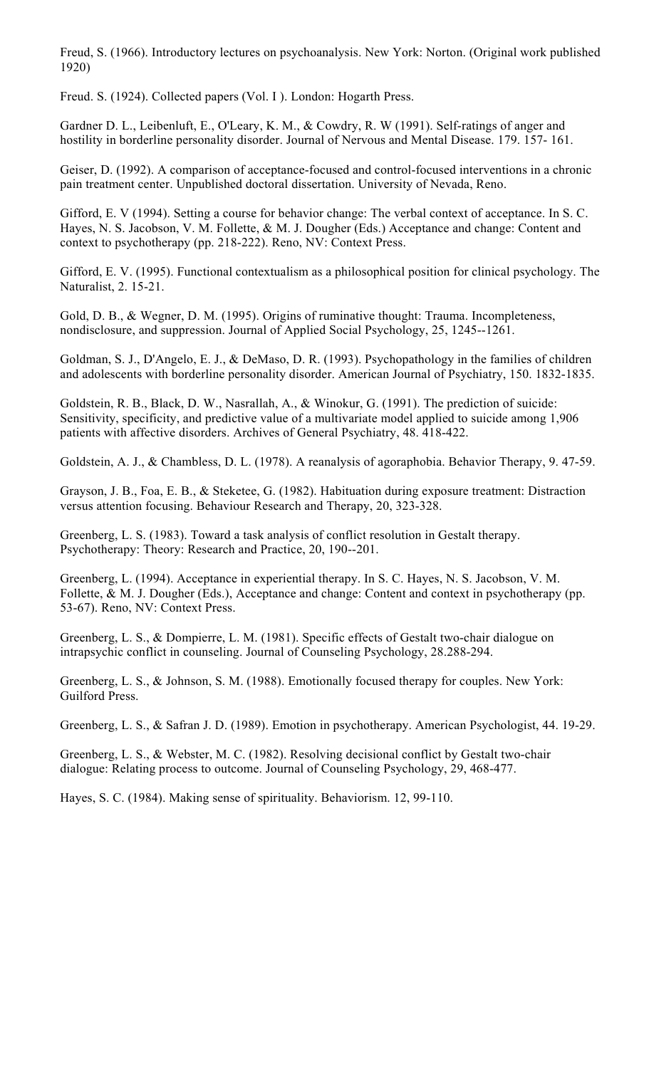Freud, S. (1966). Introductory lectures on psychoanalysis. New York: Norton. (Original work published 1920)

Freud. S. (1924). Collected papers (Vol. I ). London: Hogarth Press.

Gardner D. L., Leibenluft, E., O'Leary, K. M., & Cowdry, R. W (1991). Self-ratings of anger and hostility in borderline personality disorder. Journal of Nervous and Mental Disease. 179. 157- 161.

Geiser, D. (1992). A comparison of acceptance-focused and control-focused interventions in a chronic pain treatment center. Unpublished doctoral dissertation. University of Nevada, Reno.

Gifford, E. V (1994). Setting a course for behavior change: The verbal context of acceptance. In S. C. Hayes, N. S. Jacobson, V. M. Follette, & M. J. Dougher (Eds.) Acceptance and change: Content and context to psychotherapy (pp. 218-222). Reno, NV: Context Press.

Gifford, E. V. (1995). Functional contextualism as a philosophical position for clinical psychology. The Naturalist, 2. 15-21.

Gold, D. B., & Wegner, D. M. (1995). Origins of ruminative thought: Trauma. Incompleteness, nondisclosure, and suppression. Journal of Applied Social Psychology, 25, 1245--1261.

Goldman, S. J., D'Angelo, E. J., & DeMaso, D. R. (1993). Psychopathology in the families of children and adolescents with borderline personality disorder. American Journal of Psychiatry, 150. 1832-1835.

Goldstein, R. B., Black, D. W., Nasrallah, A., & Winokur, G. (1991). The prediction of suicide: Sensitivity, specificity, and predictive value of a multivariate model applied to suicide among 1,906 patients with affective disorders. Archives of General Psychiatry, 48. 418-422.

Goldstein, A. J., & Chambless, D. L. (1978). A reanalysis of agoraphobia. Behavior Therapy, 9. 47-59.

Grayson, J. B., Foa, E. B., & Steketee, G. (1982). Habituation during exposure treatment: Distraction versus attention focusing. Behaviour Research and Therapy, 20, 323-328.

Greenberg, L. S. (1983). Toward a task analysis of conflict resolution in Gestalt therapy. Psychotherapy: Theory: Research and Practice, 20, 190--201.

Greenberg, L. (1994). Acceptance in experiential therapy. In S. C. Hayes, N. S. Jacobson, V. M. Follette, & M. J. Dougher (Eds.), Acceptance and change: Content and context in psychotherapy (pp. 53-67). Reno, NV: Context Press.

Greenberg, L. S., & Dompierre, L. M. (1981). Specific effects of Gestalt two-chair dialogue on intrapsychic conflict in counseling. Journal of Counseling Psychology, 28.288-294.

Greenberg, L. S., & Johnson, S. M. (1988). Emotionally focused therapy for couples. New York: Guilford Press.

Greenberg, L. S., & Safran J. D. (1989). Emotion in psychotherapy. American Psychologist, 44. 19-29.

Greenberg, L. S., & Webster, M. C. (1982). Resolving decisional conflict by Gestalt two-chair dialogue: Relating process to outcome. Journal of Counseling Psychology, 29, 468-477.

Hayes, S. C. (1984). Making sense of spirituality. Behaviorism. 12, 99-110.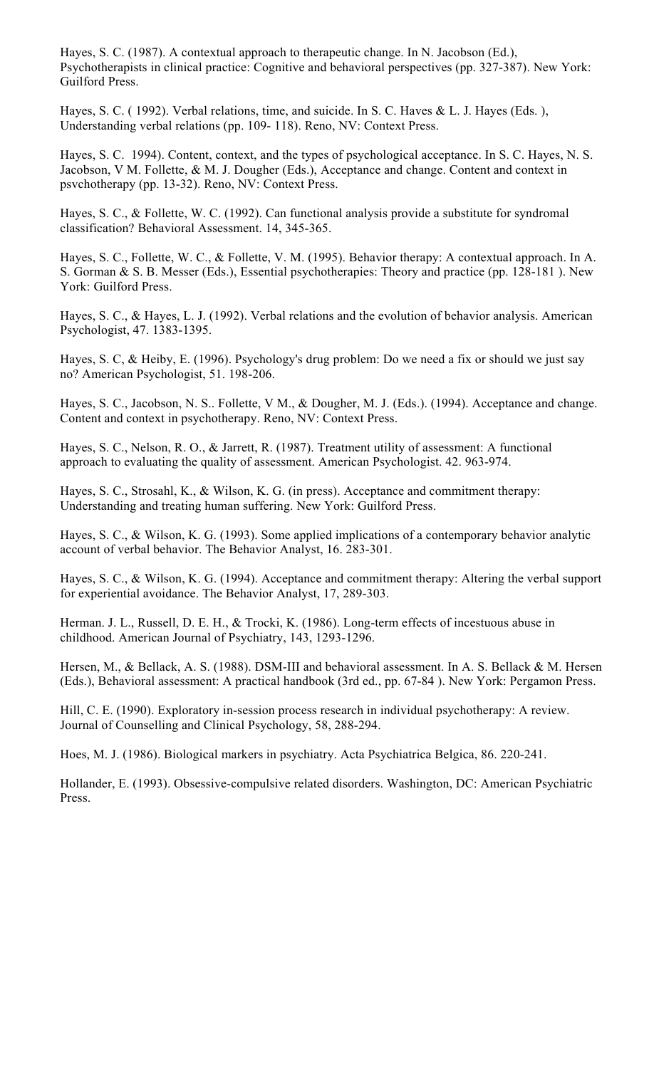Hayes, S. C. (1987). A contextual approach to therapeutic change. In N. Jacobson (Ed.), Psychotherapists in clinical practice: Cognitive and behavioral perspectives (pp. 327-387). New York: Guilford Press.

Hayes, S. C. ( 1992). Verbal relations, time, and suicide. In S. C. Haves & L. J. Hayes (Eds. ), Understanding verbal relations (pp. 109- 118). Reno, NV: Context Press.

Hayes, S. C. 1994). Content, context, and the types of psychological acceptance. In S. C. Hayes, N. S. Jacobson, V M. Follette, & M. J. Dougher (Eds.), Acceptance and change. Content and context in psvchotherapy (pp. 13-32). Reno, NV: Context Press.

Hayes, S. C., & Follette, W. C. (1992). Can functional analysis provide a substitute for syndromal classification? Behavioral Assessment. 14, 345-365.

Hayes, S. C., Follette, W. C., & Follette, V. M. (1995). Behavior therapy: A contextual approach. In A. S. Gorman & S. B. Messer (Eds.), Essential psychotherapies: Theory and practice (pp. 128-181 ). New York: Guilford Press.

Hayes, S. C., & Hayes, L. J. (1992). Verbal relations and the evolution of behavior analysis. American Psychologist, 47. 1383-1395.

Hayes, S. C, & Heiby, E. (1996). Psychology's drug problem: Do we need a fix or should we just say no? American Psychologist, 51. 198-206.

Hayes, S. C., Jacobson, N. S.. Follette, V M., & Dougher, M. J. (Eds.). (1994). Acceptance and change. Content and context in psychotherapy. Reno, NV: Context Press.

Hayes, S. C., Nelson, R. O., & Jarrett, R. (1987). Treatment utility of assessment: A functional approach to evaluating the quality of assessment. American Psychologist. 42. 963-974.

Hayes, S. C., Strosahl, K., & Wilson, K. G. (in press). Acceptance and commitment therapy: Understanding and treating human suffering. New York: Guilford Press.

Hayes, S. C., & Wilson, K. G. (1993). Some applied implications of a contemporary behavior analytic account of verbal behavior. The Behavior Analyst, 16. 283-301.

Hayes, S. C., & Wilson, K. G. (1994). Acceptance and commitment therapy: Altering the verbal support for experiential avoidance. The Behavior Analyst, 17, 289-303.

Herman. J. L., Russell, D. E. H., & Trocki, K. (1986). Long-term effects of incestuous abuse in childhood. American Journal of Psychiatry, 143, 1293-1296.

Hersen, M., & Bellack, A. S. (1988). DSM-III and behavioral assessment. In A. S. Bellack & M. Hersen (Eds.), Behavioral assessment: A practical handbook (3rd ed., pp. 67-84 ). New York: Pergamon Press.

Hill, C. E. (1990). Exploratory in-session process research in individual psychotherapy: A review. Journal of Counselling and Clinical Psychology, 58, 288-294.

Hoes, M. J. (1986). Biological markers in psychiatry. Acta Psychiatrica Belgica, 86. 220-241.

Hollander, E. (1993). Obsessive-compulsive related disorders. Washington, DC: American Psychiatric Press.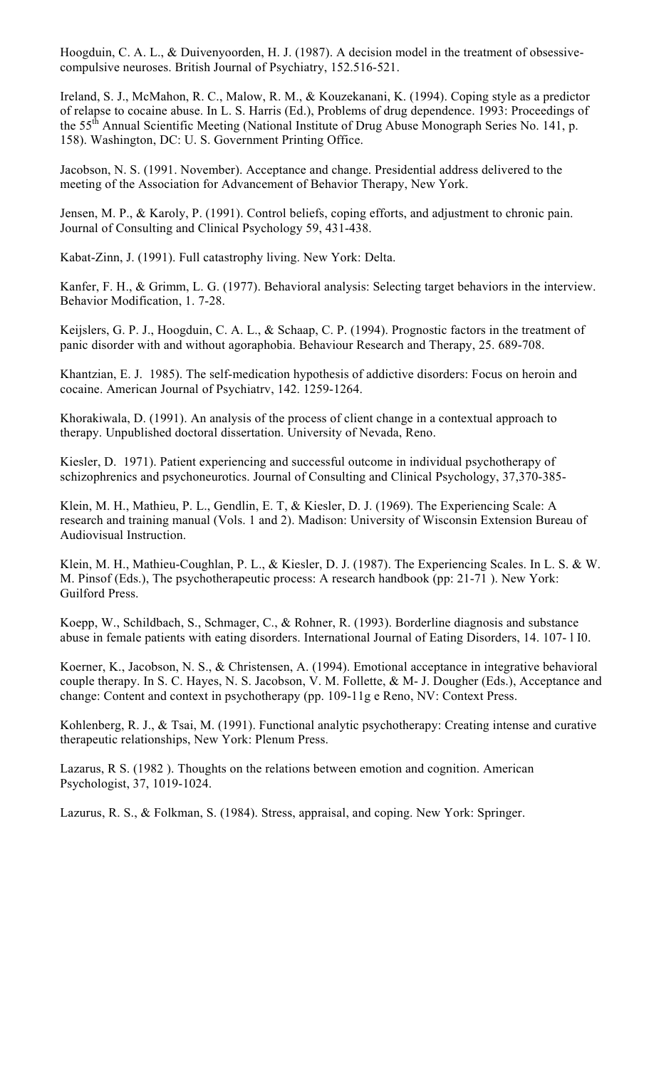Hoogduin, C. A. L., & Duivenyoorden, H. J. (1987). A decision model in the treatment of obsessivecompulsive neuroses. British Journal of Psychiatry, 152.516-521.

Ireland, S. J., McMahon, R. C., Malow, R. M., & Kouzekanani, K. (1994). Coping style as a predictor of relapse to cocaine abuse. In L. S. Harris (Ed.), Problems of drug dependence. 1993: Proceedings of the 55<sup>th</sup> Annual Scientific Meeting (National Institute of Drug Abuse Monograph Series No. 141, p. 158). Washington, DC: U. S. Government Printing Office.

Jacobson, N. S. (1991. November). Acceptance and change. Presidential address delivered to the meeting of the Association for Advancement of Behavior Therapy, New York.

Jensen, M. P., & Karoly, P. (1991). Control beliefs, coping efforts, and adjustment to chronic pain. Journal of Consulting and Clinical Psychology 59, 431-438.

Kabat-Zinn, J. (1991). Full catastrophy living. New York: Delta.

Kanfer, F. H., & Grimm, L. G. (1977). Behavioral analysis: Selecting target behaviors in the interview. Behavior Modification, 1. 7-28.

Keijslers, G. P. J., Hoogduin, C. A. L., & Schaap, C. P. (1994). Prognostic factors in the treatment of panic disorder with and without agoraphobia. Behaviour Research and Therapy, 25. 689-708.

Khantzian, E. J. 1985). The self-medication hypothesis of addictive disorders: Focus on heroin and cocaine. American Journal of Psychiatrv, 142. 1259-1264.

Khorakiwala, D. (1991). An analysis of the process of client change in a contextual approach to therapy. Unpublished doctoral dissertation. University of Nevada, Reno.

Kiesler, D. 1971). Patient experiencing and successful outcome in individual psychotherapy of schizophrenics and psychoneurotics. Journal of Consulting and Clinical Psychology, 37,370-385-

Klein, M. H., Mathieu, P. L., Gendlin, E. T, & Kiesler, D. J. (1969). The Experiencing Scale: A research and training manual (Vols. 1 and 2). Madison: University of Wisconsin Extension Bureau of Audiovisual Instruction.

Klein, M. H., Mathieu-Coughlan, P. L., & Kiesler, D. J. (1987). The Experiencing Scales. In L. S. & W. M. Pinsof (Eds.), The psychotherapeutic process: A research handbook (pp: 21-71 ). New York: Guilford Press.

Koepp, W., Schildbach, S., Schmager, C., & Rohner, R. (1993). Borderline diagnosis and substance abuse in female patients with eating disorders. International Journal of Eating Disorders, 14. 107- l I0.

Koerner, K., Jacobson, N. S., & Christensen, A. (1994). Emotional acceptance in integrative behavioral couple therapy. In S. C. Hayes, N. S. Jacobson, V. M. Follette, & M- J. Dougher (Eds.), Acceptance and change: Content and context in psychotherapy (pp. 109-11g e Reno, NV: Context Press.

Kohlenberg, R. J., & Tsai, M. (1991). Functional analytic psychotherapy: Creating intense and curative therapeutic relationships, New York: Plenum Press.

Lazarus, R S. (1982 ). Thoughts on the relations between emotion and cognition. American Psychologist, 37, 1019-1024.

Lazurus, R. S., & Folkman, S. (1984). Stress, appraisal, and coping. New York: Springer.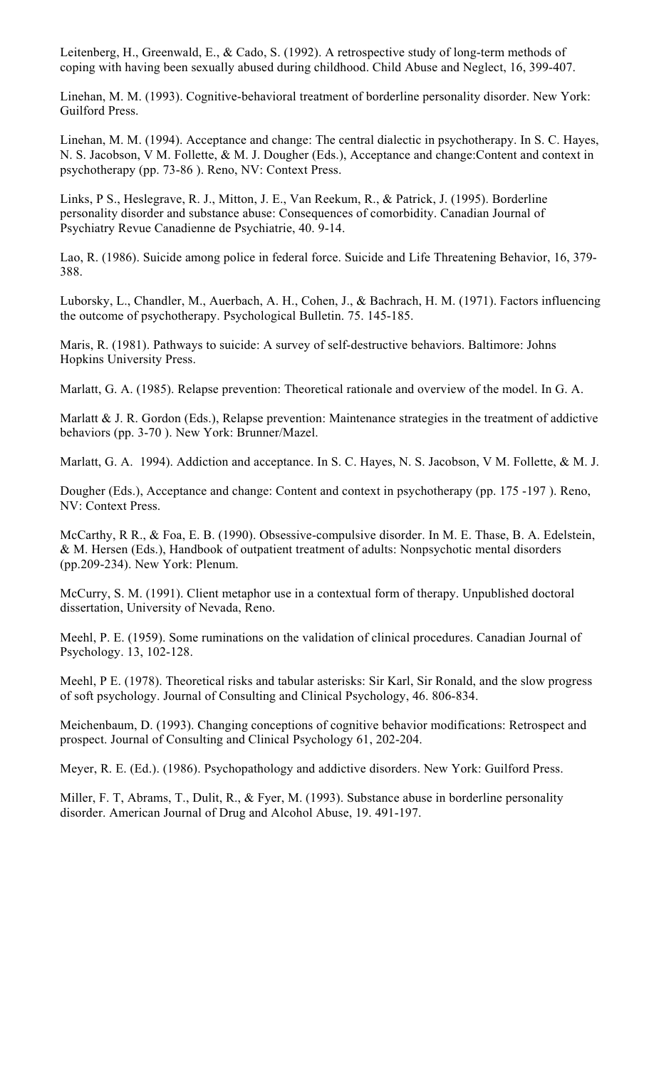Leitenberg, H., Greenwald, E., & Cado, S. (1992). A retrospective study of long-term methods of coping with having been sexually abused during childhood. Child Abuse and Neglect, 16, 399-407.

Linehan, M. M. (1993). Cognitive-behavioral treatment of borderline personality disorder. New York: Guilford Press.

Linehan, M. M. (1994). Acceptance and change: The central dialectic in psychotherapy. In S. C. Hayes, N. S. Jacobson, V M. Follette, & M. J. Dougher (Eds.), Acceptance and change:Content and context in psychotherapy (pp. 73-86 ). Reno, NV: Context Press.

Links, P S., Heslegrave, R. J., Mitton, J. E., Van Reekum, R., & Patrick, J. (1995). Borderline personality disorder and substance abuse: Consequences of comorbidity. Canadian Journal of Psychiatry Revue Canadienne de Psychiatrie, 40. 9-14.

Lao, R. (1986). Suicide among police in federal force. Suicide and Life Threatening Behavior, 16, 379- 388.

Luborsky, L., Chandler, M., Auerbach, A. H., Cohen, J., & Bachrach, H. M. (1971). Factors influencing the outcome of psychotherapy. Psychological Bulletin. 75. 145-185.

Maris, R. (1981). Pathways to suicide: A survey of self-destructive behaviors. Baltimore: Johns Hopkins University Press.

Marlatt, G. A. (1985). Relapse prevention: Theoretical rationale and overview of the model. In G. A.

Marlatt & J. R. Gordon (Eds.), Relapse prevention: Maintenance strategies in the treatment of addictive behaviors (pp. 3-70 ). New York: Brunner/Mazel.

Marlatt, G. A. 1994). Addiction and acceptance. In S. C. Hayes, N. S. Jacobson, V M. Follette, & M. J.

Dougher (Eds.), Acceptance and change: Content and context in psychotherapy (pp. 175 -197 ). Reno, NV: Context Press.

McCarthy, R R., & Foa, E. B. (1990). Obsessive-compulsive disorder. In M. E. Thase, B. A. Edelstein, & M. Hersen (Eds.), Handbook of outpatient treatment of adults: Nonpsychotic mental disorders (pp.209-234). New York: Plenum.

McCurry, S. M. (1991). Client metaphor use in a contextual form of therapy. Unpublished doctoral dissertation, University of Nevada, Reno.

Meehl, P. E. (1959). Some ruminations on the validation of clinical procedures. Canadian Journal of Psychology. 13, 102-128.

Meehl, P E. (1978). Theoretical risks and tabular asterisks: Sir Karl, Sir Ronald, and the slow progress of soft psychology. Journal of Consulting and Clinical Psychology, 46. 806-834.

Meichenbaum, D. (1993). Changing conceptions of cognitive behavior modifications: Retrospect and prospect. Journal of Consulting and Clinical Psychology 61, 202-204.

Meyer, R. E. (Ed.). (1986). Psychopathology and addictive disorders. New York: Guilford Press.

Miller, F. T, Abrams, T., Dulit, R., & Fyer, M. (1993). Substance abuse in borderline personality disorder. American Journal of Drug and Alcohol Abuse, 19. 491-197.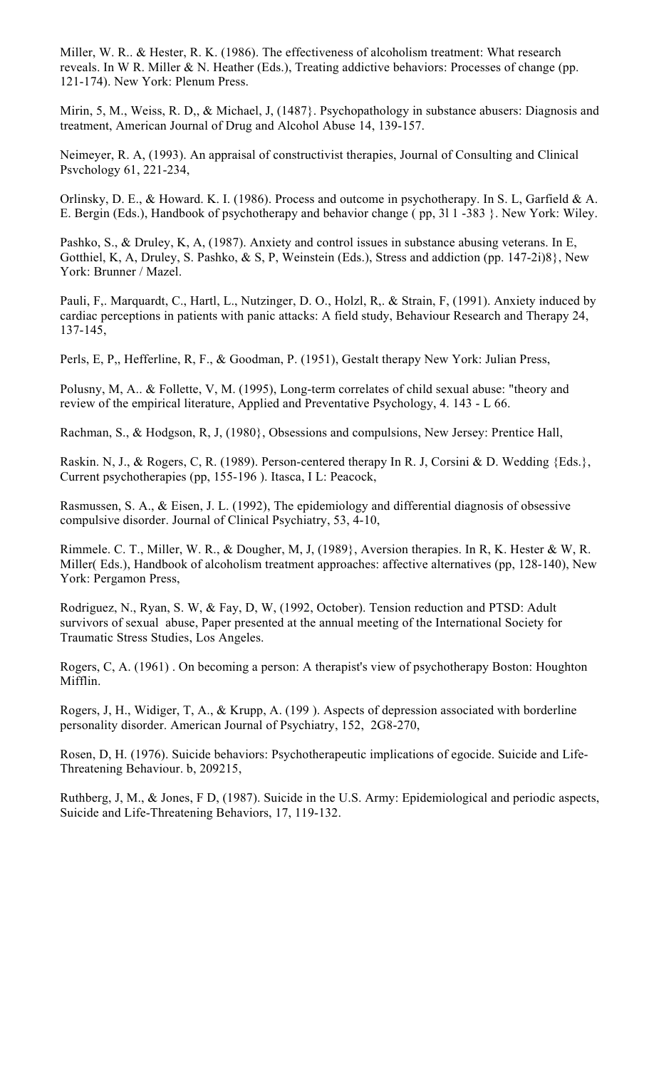Miller, W. R.. & Hester, R. K. (1986). The effectiveness of alcoholism treatment: What research reveals. In W R. Miller & N. Heather (Eds.), Treating addictive behaviors: Processes of change (pp. 121-174). New York: Plenum Press.

Mirin, 5, M., Weiss, R. D,, & Michael, J, (1487}. Psychopathology in substance abusers: Diagnosis and treatment, American Journal of Drug and Alcohol Abuse 14, 139-157.

Neimeyer, R. A, (1993). An appraisal of constructivist therapies, Journal of Consulting and Clinical Psvchology 61, 221-234,

Orlinsky, D. E., & Howard. K. I. (1986). Process and outcome in psychotherapy. In S. L, Garfield & A. E. Bergin (Eds.), Handbook of psychotherapy and behavior change ( pp, 3l 1 -383 }. New York: Wiley.

Pashko, S., & Druley, K, A, (1987). Anxiety and control issues in substance abusing veterans. In E, Gotthiel, K, A, Druley, S. Pashko, & S, P, Weinstein (Eds.), Stress and addiction (pp. 147-2i)8}, New York: Brunner / Mazel.

Pauli, F,. Marquardt, C., Hartl, L., Nutzinger, D. O., Holzl, R,. & Strain, F, (1991). Anxiety induced by cardiac perceptions in patients with panic attacks: A field study, Behaviour Research and Therapy 24, 137-145,

Perls, E, P,, Hefferline, R, F., & Goodman, P. (1951), Gestalt therapy New York: Julian Press,

Polusny, M, A.. & Follette, V, M. (1995), Long-term correlates of child sexual abuse: "theory and review of the empirical literature, Applied and Preventative Psychology, 4. 143 - L 66.

Rachman, S., & Hodgson, R, J, (1980}, Obsessions and compulsions, New Jersey: Prentice Hall,

Raskin. N, J., & Rogers, C, R. (1989). Person-centered therapy In R. J, Corsini & D. Wedding {Eds.}, Current psychotherapies (pp, 155-196 ). Itasca, I L: Peacock,

Rasmussen, S. A., & Eisen, J. L. (1992), The epidemiology and differential diagnosis of obsessive compulsive disorder. Journal of Clinical Psychiatry, 53, 4-10,

Rimmele. C. T., Miller, W. R., & Dougher, M, J, (1989}, Aversion therapies. In R, K. Hester & W, R. Miller( Eds.), Handbook of alcoholism treatment approaches: affective alternatives (pp, 128-140), New York: Pergamon Press,

Rodriguez, N., Ryan, S. W, & Fay, D, W, (1992, October). Tension reduction and PTSD: Adult survivors of sexual abuse, Paper presented at the annual meeting of the International Society for Traumatic Stress Studies, Los Angeles.

Rogers, C, A. (1961) . On becoming a person: A therapist's view of psychotherapy Boston: Houghton Mifflin.

Rogers, J, H., Widiger, T, A., & Krupp, A. (199 ). Aspects of depression associated with borderline personality disorder. American Journal of Psychiatry, 152, 2G8-270,

Rosen, D, H. (1976). Suicide behaviors: Psychotherapeutic implications of egocide. Suicide and Life-Threatening Behaviour. b, 209215,

Ruthberg, J, M., & Jones, F D, (1987). Suicide in the U.S. Army: Epidemiological and periodic aspects, Suicide and Life-Threatening Behaviors, 17, 119-132.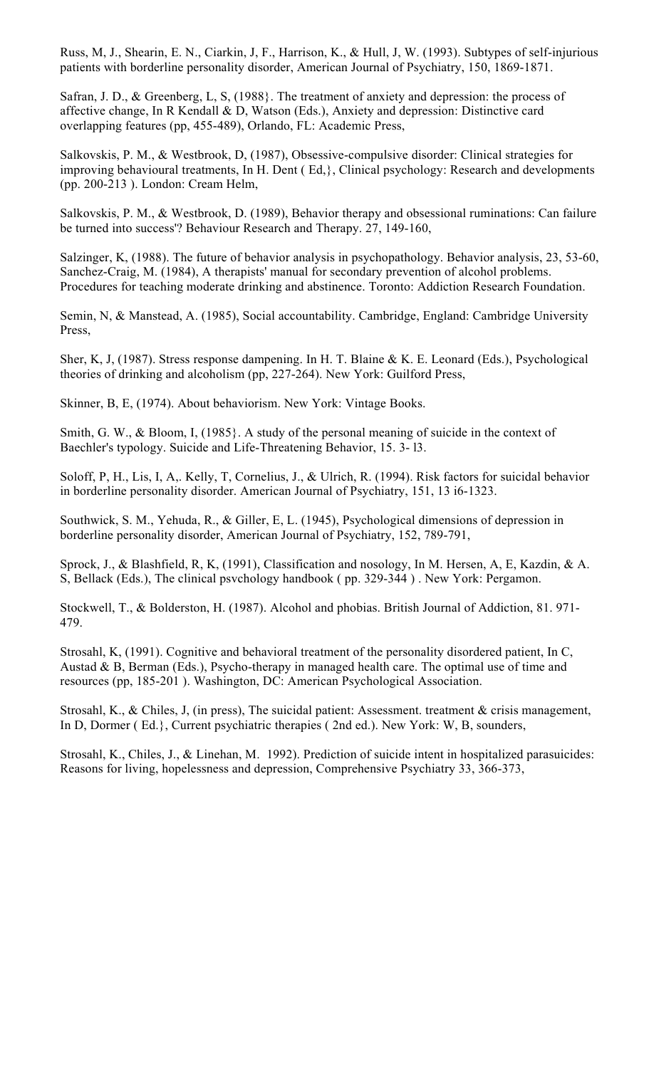Russ, M, J., Shearin, E. N., Ciarkin, J, F., Harrison, K., & Hull, J, W. (1993). Subtypes of self-injurious patients with borderline personality disorder, American Journal of Psychiatry, 150, 1869-1871.

Safran, J. D., & Greenberg, L, S, (1988}. The treatment of anxiety and depression: the process of affective change, In R Kendall & D, Watson (Eds.), Anxiety and depression: Distinctive card overlapping features (pp, 455-489), Orlando, FL: Academic Press,

Salkovskis, P. M., & Westbrook, D, (1987), Obsessive-compulsive disorder: Clinical strategies for improving behavioural treatments, In H. Dent ( Ed,}, Clinical psychology: Research and developments (pp. 200-213 ). London: Cream Helm,

Salkovskis, P. M., & Westbrook, D. (1989), Behavior therapy and obsessional ruminations: Can failure be turned into success'? Behaviour Research and Therapy. 27, 149-160,

Salzinger, K, (1988). The future of behavior analysis in psychopathology. Behavior analysis, 23, 53-60, Sanchez-Craig, M. (1984), A therapists' manual for secondary prevention of alcohol problems. Procedures for teaching moderate drinking and abstinence. Toronto: Addiction Research Foundation.

Semin, N, & Manstead, A. (1985), Social accountability. Cambridge, England: Cambridge University Press,

Sher, K, J, (1987). Stress response dampening. In H. T. Blaine & K. E. Leonard (Eds.), Psychological theories of drinking and alcoholism (pp, 227-264). New York: Guilford Press,

Skinner, B, E, (1974). About behaviorism. New York: Vintage Books.

Smith, G. W., & Bloom, I, (1985}. A study of the personal meaning of suicide in the context of Baechler's typology. Suicide and Life-Threatening Behavior, 15. 3- l3.

Soloff, P, H., Lis, I, A,. Kelly, T, Cornelius, J., & Ulrich, R. (1994). Risk factors for suicidal behavior in borderline personality disorder. American Journal of Psychiatry, 151, 13 i6-1323.

Southwick, S. M., Yehuda, R., & Giller, E, L. (1945), Psychological dimensions of depression in borderline personality disorder, American Journal of Psychiatry, 152, 789-791,

Sprock, J., & Blashfield, R, K, (1991), Classification and nosology, In M. Hersen, A, E, Kazdin, & A. S, Bellack (Eds.), The clinical psvchology handbook ( pp. 329-344 ) . New York: Pergamon.

Stockwell, T., & Bolderston, H. (1987). Alcohol and phobias. British Journal of Addiction, 81. 971- 479.

Strosahl, K, (1991). Cognitive and behavioral treatment of the personality disordered patient, In C, Austad & B, Berman (Eds.), Psycho-therapy in managed health care. The optimal use of time and resources (pp, 185-201 ). Washington, DC: American Psychological Association.

Strosahl, K., & Chiles, J, (in press), The suicidal patient: Assessment. treatment & crisis management, In D, Dormer ( Ed.}, Current psychiatric therapies ( 2nd ed.). New York: W, B, sounders,

Strosahl, K., Chiles, J., & Linehan, M. 1992). Prediction of suicide intent in hospitalized parasuicides: Reasons for living, hopelessness and depression, Comprehensive Psychiatry 33, 366-373,